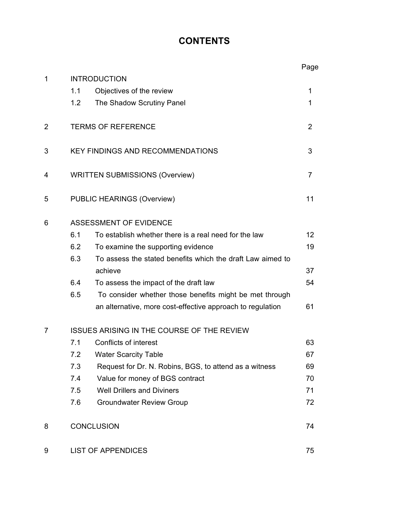# **CONTENTS**

|                |                                                   |                                                            | Page           |
|----------------|---------------------------------------------------|------------------------------------------------------------|----------------|
| $\mathbf{1}$   | <b>INTRODUCTION</b>                               |                                                            |                |
|                | 1.1                                               | Objectives of the review                                   | 1              |
|                | 1.2                                               | The Shadow Scrutiny Panel                                  | 1              |
| $\overline{2}$ | <b>TERMS OF REFERENCE</b>                         |                                                            | $\overline{2}$ |
| 3              |                                                   | <b>KEY FINDINGS AND RECOMMENDATIONS</b>                    | 3              |
| 4              | <b>WRITTEN SUBMISSIONS (Overview)</b>             |                                                            | $\overline{7}$ |
| 5              |                                                   | <b>PUBLIC HEARINGS (Overview)</b>                          | 11             |
| 6              | <b>ASSESSMENT OF EVIDENCE</b>                     |                                                            |                |
|                | 6.1                                               | To establish whether there is a real need for the law      | 12             |
|                | 6.2                                               | To examine the supporting evidence                         | 19             |
|                | 6.3                                               | To assess the stated benefits which the draft Law aimed to |                |
|                |                                                   | achieve                                                    | 37             |
|                | 6.4                                               | To assess the impact of the draft law                      | 54             |
|                | 6.5                                               | To consider whether those benefits might be met through    |                |
|                |                                                   | an alternative, more cost-effective approach to regulation | 61             |
| 7              | <b>ISSUES ARISING IN THE COURSE OF THE REVIEW</b> |                                                            |                |
|                | 7.1                                               | Conflicts of interest                                      | 63             |
|                | 7.2                                               | <b>Water Scarcity Table</b>                                | 67             |
|                | 7.3                                               | Request for Dr. N. Robins, BGS, to attend as a witness     | 69             |
|                | 7.4                                               | Value for money of BGS contract                            | 70             |
|                | 7.5                                               | <b>Well Drillers and Diviners</b>                          | 71             |
|                | 7.6                                               | <b>Groundwater Review Group</b>                            | 72             |
| 8              | <b>CONCLUSION</b>                                 |                                                            | 74             |
| 9              | <b>LIST OF APPENDICES</b>                         |                                                            | 75             |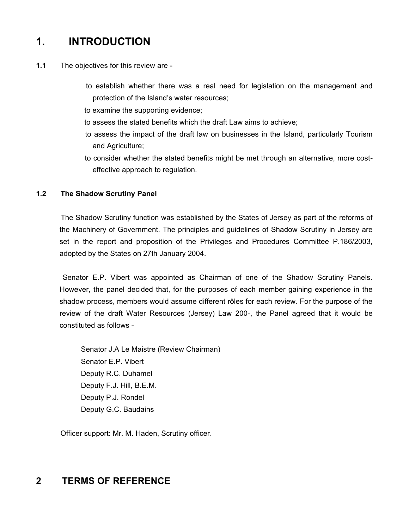# **1. INTRODUCTION**

- **1.1**  The objectives for this review are
	- to establish whether there was a real need for legislation on the management and protection of the Island's water resources;
	- to examine the supporting evidence;
	- to assess the stated benefits which the draft Law aims to achieve;
	- to assess the impact of the draft law on businesses in the Island, particularly Tourism and Agriculture;
	- to consider whether the stated benefits might be met through an alternative, more costeffective approach to regulation.

### **1.2 The Shadow Scrutiny Panel**

 The Shadow Scrutiny function was established by the States of Jersey as part of the reforms of the Machinery of Government. The principles and guidelines of Shadow Scrutiny in Jersey are set in the report and proposition of the Privileges and Procedures Committee P.186/2003, adopted by the States on 27th January 2004.

 Senator E.P. Vibert was appointed as Chairman of one of the Shadow Scrutiny Panels. However, the panel decided that, for the purposes of each member gaining experience in the shadow process, members would assume different rôles for each review. For the purpose of the review of the draft Water Resources (Jersey) Law 200-, the Panel agreed that it would be constituted as follows -

 Senator J.A Le Maistre (Review Chairman) Senator E.P. Vibert Deputy R.C. Duhamel Deputy F.J. Hill, B.E.M. Deputy P.J. Rondel Deputy G.C. Baudains

Officer support: Mr. M. Haden, Scrutiny officer.

# **2 TERMS OF REFERENCE**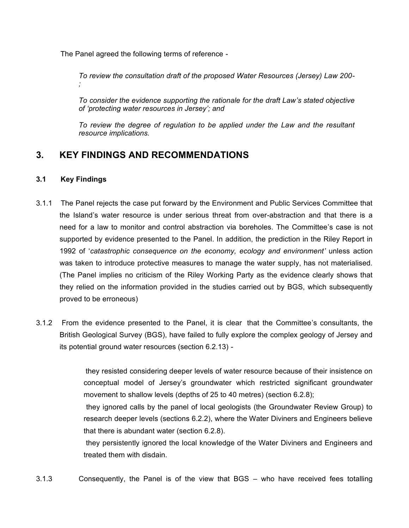The Panel agreed the following terms of reference -

*To review the consultation draft of the proposed Water Resources (Jersey) Law 200- ;*

*To consider the evidence supporting the rationale for the draft Law's stated objective of 'protecting water resources in Jersey'; and*

*To review the degree of regulation to be applied under the Law and the resultant resource implications.*

# **3. KEY FINDINGS AND RECOMMENDATIONS**

### **3.1 Key Findings**

- 3.1.1 The Panel rejects the case put forward by the Environment and Public Services Committee that the Island's water resource is under serious threat from over-abstraction and that there is a need for a law to monitor and control abstraction via boreholes. The Committee's case is not supported by evidence presented to the Panel. In addition, the prediction in the Riley Report in 1992 of '*catastrophic consequence on the economy, ecology and environment'* unless action was taken to introduce protective measures to manage the water supply, has not materialised. (The Panel implies no criticism of the Riley Working Party as the evidence clearly shows that they relied on the information provided in the studies carried out by BGS, which subsequently proved to be erroneous)
- 3.1.2 From the evidence presented to the Panel, it is clear that the Committee's consultants, the British Geological Survey (BGS), have failed to fully explore the complex geology of Jersey and its potential ground water resources (section 6.2.13) -

 they resisted considering deeper levels of water resource because of their insistence on conceptual model of Jersey's groundwater which restricted significant groundwater movement to shallow levels (depths of 25 to 40 metres) (section 6.2.8);

 they ignored calls by the panel of local geologists (the Groundwater Review Group) to research deeper levels (sections 6.2.2), where the Water Diviners and Engineers believe that there is abundant water (section 6.2.8).

 they persistently ignored the local knowledge of the Water Diviners and Engineers and treated them with disdain.

3.1.3 Consequently, the Panel is of the view that BGS – who have received fees totalling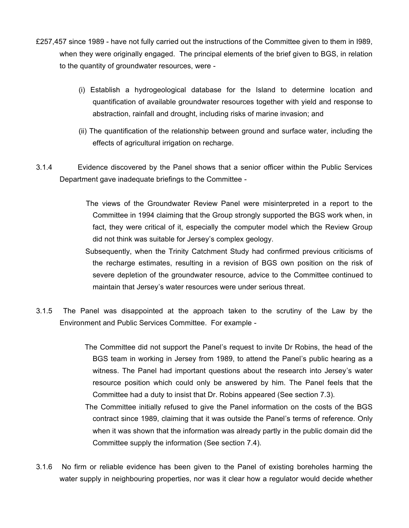- £257,457 since 1989 have not fully carried out the instructions of the Committee given to them in I989, when they were originally engaged. The principal elements of the brief given to BGS, in relation to the quantity of groundwater resources, were -
	- (i) Establish a hydrogeological database for the Island to determine location and quantification of available groundwater resources together with yield and response to abstraction, rainfall and drought, including risks of marine invasion; and
	- (ii) The quantification of the relationship between ground and surface water, including the effects of agricultural irrigation on recharge.
- 3.1.4 Evidence discovered by the Panel shows that a senior officer within the Public Services Department gave inadequate briefings to the Committee -
	- The views of the Groundwater Review Panel were misinterpreted in a report to the Committee in 1994 claiming that the Group strongly supported the BGS work when, in fact, they were critical of it, especially the computer model which the Review Group did not think was suitable for Jersey's complex geology.
	- Subsequently, when the Trinity Catchment Study had confirmed previous criticisms of the recharge estimates, resulting in a revision of BGS own position on the risk of severe depletion of the groundwater resource, advice to the Committee continued to maintain that Jersey's water resources were under serious threat.
- 3.1.5 The Panel was disappointed at the approach taken to the scrutiny of the Law by the Environment and Public Services Committee. For example -
	- The Committee did not support the Panel's request to invite Dr Robins, the head of the BGS team in working in Jersey from 1989, to attend the Panel's public hearing as a witness. The Panel had important questions about the research into Jersey's water resource position which could only be answered by him. The Panel feels that the Committee had a duty to insist that Dr. Robins appeared (See section 7.3).
	- The Committee initially refused to give the Panel information on the costs of the BGS contract since 1989, claiming that it was outside the Panel's terms of reference. Only when it was shown that the information was already partly in the public domain did the Committee supply the information (See section 7.4).
- 3.1.6 No firm or reliable evidence has been given to the Panel of existing boreholes harming the water supply in neighbouring properties, nor was it clear how a regulator would decide whether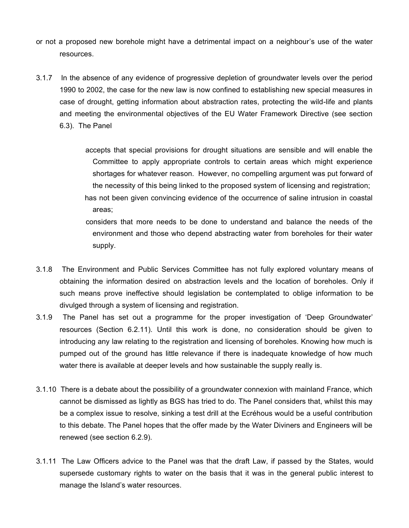- or not a proposed new borehole might have a detrimental impact on a neighbour's use of the water resources.
- 3.1.7 In the absence of any evidence of progressive depletion of groundwater levels over the period 1990 to 2002, the case for the new law is now confined to establishing new special measures in case of drought, getting information about abstraction rates, protecting the wild-life and plants and meeting the environmental objectives of the EU Water Framework Directive (see section 6.3). The Panel

accepts that special provisions for drought situations are sensible and will enable the Committee to apply appropriate controls to certain areas which might experience shortages for whatever reason. However, no compelling argument was put forward of the necessity of this being linked to the proposed system of licensing and registration; has not been given convincing evidence of the occurrence of saline intrusion in coastal areas;

considers that more needs to be done to understand and balance the needs of the environment and those who depend abstracting water from boreholes for their water supply.

- 3.1.8 The Environment and Public Services Committee has not fully explored voluntary means of obtaining the information desired on abstraction levels and the location of boreholes. Only if such means prove ineffective should legislation be contemplated to oblige information to be divulged through a system of licensing and registration.
- 3.1.9 The Panel has set out a programme for the proper investigation of 'Deep Groundwater' resources (Section 6.2.11). Until this work is done, no consideration should be given to introducing any law relating to the registration and licensing of boreholes. Knowing how much is pumped out of the ground has little relevance if there is inadequate knowledge of how much water there is available at deeper levels and how sustainable the supply really is.
- 3.1.10 There is a debate about the possibility of a groundwater connexion with mainland France, which cannot be dismissed as lightly as BGS has tried to do. The Panel considers that, whilst this may be a complex issue to resolve, sinking a test drill at the Ecréhous would be a useful contribution to this debate. The Panel hopes that the offer made by the Water Diviners and Engineers will be renewed (see section 6.2.9).
- 3.1.11 The Law Officers advice to the Panel was that the draft Law, if passed by the States, would supersede customary rights to water on the basis that it was in the general public interest to manage the Island's water resources.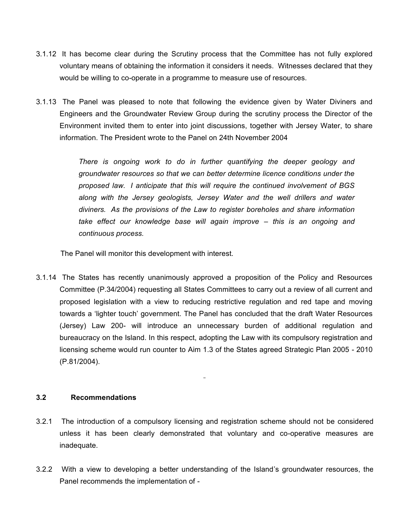- 3.1.12 It has become clear during the Scrutiny process that the Committee has not fully explored voluntary means of obtaining the information it considers it needs. Witnesses declared that they would be willing to co-operate in a programme to measure use of resources.
- 3.1.13 The Panel was pleased to note that following the evidence given by Water Diviners and Engineers and the Groundwater Review Group during the scrutiny process the Director of the Environment invited them to enter into joint discussions, together with Jersey Water, to share information. The President wrote to the Panel on 24th November 2004

*There is ongoing work to do in further quantifying the deeper geology and groundwater resources so that we can better determine licence conditions under the proposed law. I anticipate that this will require the continued involvement of BGS along with the Jersey geologists, Jersey Water and the well drillers and water diviners. As the provisions of the Law to register boreholes and share information take effect our knowledge base will again improve – this is an ongoing and continuous process.*

The Panel will monitor this development with interest.

3.1.14 The States has recently unanimously approved a proposition of the Policy and Resources Committee (P.34/2004) requesting all States Committees to carry out a review of all current and proposed legislation with a view to reducing restrictive regulation and red tape and moving towards a 'lighter touch' government. The Panel has concluded that the draft Water Resources (Jersey) Law 200- will introduce an unnecessary burden of additional regulation and bureaucracy on the Island. In this respect, adopting the Law with its compulsory registration and licensing scheme would run counter to Aim 1.3 of the States agreed Strategic Plan 2005 - 2010 (P.81/2004).

### **3.2 Recommendations**

- 3.2.1 The introduction of a compulsory licensing and registration scheme should not be considered unless it has been clearly demonstrated that voluntary and co-operative measures are inadequate.
- 3.2.2 With a view to developing a better understanding of the Island's groundwater resources, the Panel recommends the implementation of -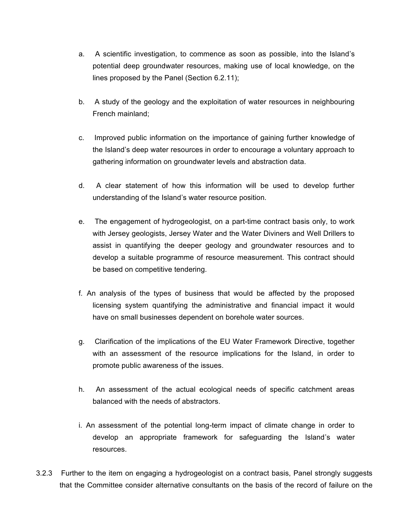- a. A scientific investigation, to commence as soon as possible, into the Island's potential deep groundwater resources, making use of local knowledge, on the lines proposed by the Panel (Section 6.2.11);
- b. A study of the geology and the exploitation of water resources in neighbouring French mainland;
- c. Improved public information on the importance of gaining further knowledge of the Island's deep water resources in order to encourage a voluntary approach to gathering information on groundwater levels and abstraction data.
- d. A clear statement of how this information will be used to develop further understanding of the Island's water resource position.
- e. The engagement of hydrogeologist, on a part-time contract basis only, to work with Jersey geologists, Jersey Water and the Water Diviners and Well Drillers to assist in quantifying the deeper geology and groundwater resources and to develop a suitable programme of resource measurement. This contract should be based on competitive tendering.
- f. An analysis of the types of business that would be affected by the proposed licensing system quantifying the administrative and financial impact it would have on small businesses dependent on borehole water sources.
- g. Clarification of the implications of the EU Water Framework Directive, together with an assessment of the resource implications for the Island, in order to promote public awareness of the issues.
- h. An assessment of the actual ecological needs of specific catchment areas balanced with the needs of abstractors.
- i. An assessment of the potential long-term impact of climate change in order to develop an appropriate framework for safeguarding the Island's water resources.
- 3.2.3 Further to the item on engaging a hydrogeologist on a contract basis, Panel strongly suggests that the Committee consider alternative consultants on the basis of the record of failure on the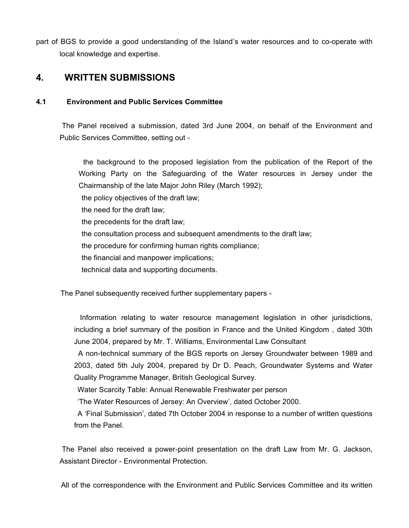part of BGS to provide a good understanding of the Island's water resources and to co-operate with local knowledge and expertise.

# **4. WRITTEN SUBMISSIONS**

### **4.1 Environment and Public Services Committee**

 The Panel received a submission, dated 3rd June 2004, on behalf of the Environment and Public Services Committee, setting out -

 the background to the proposed legislation from the publication of the Report of the Working Party on the Safeguarding of the Water resources in Jersey under the Chairmanship of the late Major John Riley (March 1992); the policy objectives of the draft law; the need for the draft law; the precedents for the draft law; the consultation process and subsequent amendments to the draft law; the procedure for confirming human rights compliance; the financial and manpower implications; technical data and supporting documents.

The Panel subsequently received further supplementary papers -

 Information relating to water resource management legislation in other jurisdictions, including a brief summary of the position in France and the United Kingdom , dated 30th June 2004, prepared by Mr. T. Williams, Environmental Law Consultant

 A non-technical summary of the BGS reports on Jersey Groundwater between 1989 and 2003, dated 5th July 2004, prepared by Dr D. Peach, Groundwater Systems and Water Quality Programme Manager, British Geological Survey.

Water Scarcity Table: Annual Renewable Freshwater per person

'The Water Resources of Jersey: An Overview', dated October 2000.

 A 'Final Submission', dated 7th October 2004 in response to a number of written questions from the Panel.

 The Panel also received a power-point presentation on the draft Law from Mr. G. Jackson, Assistant Director - Environmental Protection.

All of the correspondence with the Environment and Public Services Committee and its written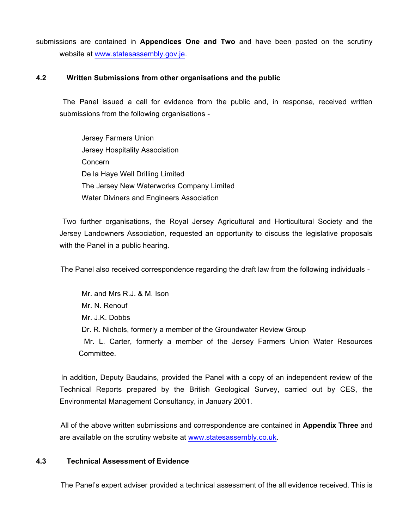submissions are contained in **Appendices One and Two** and have been posted on the scrutiny website at <www.statesassembly.gov.je>.

### **4.2 Written Submissions from other organisations and the public**

 The Panel issued a call for evidence from the public and, in response, received written submissions from the following organisations -

 Jersey Farmers Union Jersey Hospitality Association Concern De la Haye Well Drilling Limited The Jersey New Waterworks Company Limited Water Diviners and Engineers Association

 Two further organisations, the Royal Jersey Agricultural and Horticultural Society and the Jersey Landowners Association, requested an opportunity to discuss the legislative proposals with the Panel in a public hearing.

The Panel also received correspondence regarding the draft law from the following individuals -

 Mr. and Mrs R.J. & M. Ison Mr. N. Renouf Mr. J.K. Dobbs Dr. R. Nichols, formerly a member of the Groundwater Review Group Mr. L. Carter, formerly a member of the Jersey Farmers Union Water Resources Committee.

 In addition, Deputy Baudains, provided the Panel with a copy of an independent review of the Technical Reports prepared by the British Geological Survey, carried out by CES, the Environmental Management Consultancy, in January 2001.

 All of the above written submissions and correspondence are contained in **Appendix Three** and are available on the scrutiny website at <www.statesassembly.co.uk>.

### **4.3 Technical Assessment of Evidence**

The Panel's expert adviser provided a technical assessment of the all evidence received. This is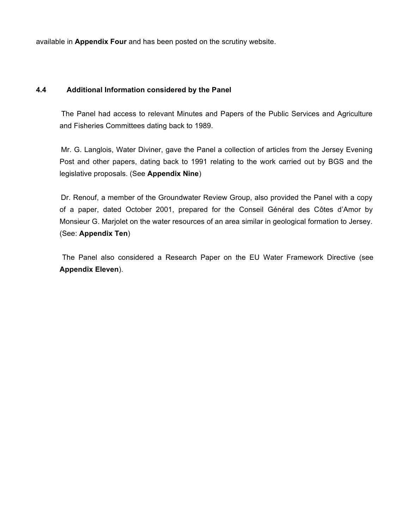available in **Appendix Four** and has been posted on the scrutiny website.

### **4.4 Additional Information considered by the Panel**

 The Panel had access to relevant Minutes and Papers of the Public Services and Agriculture and Fisheries Committees dating back to 1989.

 Mr. G. Langlois, Water Diviner, gave the Panel a collection of articles from the Jersey Evening Post and other papers, dating back to 1991 relating to the work carried out by BGS and the legislative proposals. (See **Appendix Nine**)

 Dr. Renouf, a member of the Groundwater Review Group, also provided the Panel with a copy of a paper, dated October 2001, prepared for the Conseil Général des Côtes d'Amor by Monsieur G. Marjolet on the water resources of an area similar in geological formation to Jersey. (See: **Appendix Ten**)

 The Panel also considered a Research Paper on the EU Water Framework Directive (see **Appendix Eleven**).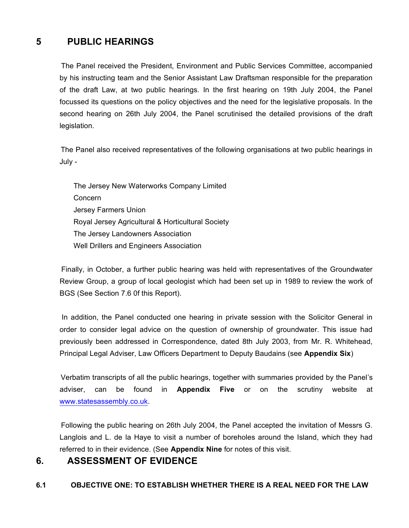# **5 PUBLIC HEARINGS**

 The Panel received the President, Environment and Public Services Committee, accompanied by his instructing team and the Senior Assistant Law Draftsman responsible for the preparation of the draft Law, at two public hearings. In the first hearing on 19th July 2004, the Panel focussed its questions on the policy objectives and the need for the legislative proposals. In the second hearing on 26th July 2004, the Panel scrutinised the detailed provisions of the draft legislation.

 The Panel also received representatives of the following organisations at two public hearings in July -

 The Jersey New Waterworks Company Limited Concern Jersey Farmers Union Royal Jersey Agricultural & Horticultural Society The Jersey Landowners Association Well Drillers and Engineers Association

 Finally, in October, a further public hearing was held with representatives of the Groundwater Review Group, a group of local geologist which had been set up in 1989 to review the work of BGS (See Section 7.6 0f this Report).

 In addition, the Panel conducted one hearing in private session with the Solicitor General in order to consider legal advice on the question of ownership of groundwater. This issue had previously been addressed in Correspondence, dated 8th July 2003, from Mr. R. Whitehead, Principal Legal Adviser, Law Officers Department to Deputy Baudains (see **Appendix Six**)

 Verbatim transcripts of all the public hearings, together with summaries provided by the Panel's adviser, can be found in **Appendix Five** or on the scrutiny website at <www.statesassembly.co.uk>.

 Following the public hearing on 26th July 2004, the Panel accepted the invitation of Messrs G. Langlois and L. de la Haye to visit a number of boreholes around the Island, which they had referred to in their evidence. (See **Appendix Nine** for notes of this visit.

## **6. ASSESSMENT OF EVIDENCE**

### **6.1 OBJECTIVE ONE: TO ESTABLISH WHETHER THERE IS A REAL NEED FOR THE LAW**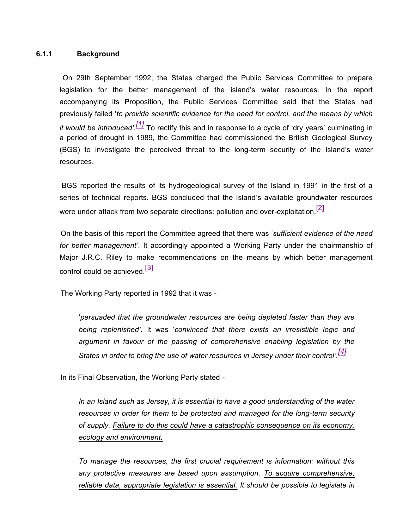#### **6.1.1 Background**

 On 29th September 1992, the States charged the Public Services Committee to prepare legislation for the better management of the island's water resources. In the report accompanying its Proposition, the Public Services Committee said that the States had previously failed '*to provide scientific evidence for the need for control, and the means by which it would be introduced'. [1]* To rectify this and in response to a cycle of 'dry years' culminating in a period of drought in 1989, the Committee had commissioned the British Geological Survey (BGS) to investigate the perceived threat to the long-term security of the Island's water resources.

 BGS reported the results of its hydrogeological survey of the Island in 1991 in the first of a series of technical reports. BGS concluded that the Island's available groundwater resources were under attack from two separate directions: pollution and over-exploitation.<sup>[2]</sup>

 On the basis of this report the Committee agreed that there was '*sufficient evidence of the need for better management*'. It accordingly appointed a Working Party under the chairmanship of Major J.R.C. Riley to make recommendations on the means by which better management control could be achieved [3]

The Working Party reported in 1992 that it was -

'*persuaded that the groundwater resources are being depleted faster than they are being replenished'.* It was '*convinced that there exists an irresistible logic and argument in favour of the passing of comprehensive enabling legislation by the States in order to bring the use of water resources in Jersey under their control'. [4]*

In its Final Observation, the Working Party stated -

*In an Island such as Jersey, it is essential to have a good understanding of the water resources in order for them to be protected and managed for the long-term security of supply. Failure to do this could have a catastrophic consequence on its economy, ecology and environment.*

*To manage the resources, the first crucial requirement is information: without this any protective measures are based upon assumption. To acquire comprehensive, reliable data, appropriate legislation is essential. It should be possible to legislate in*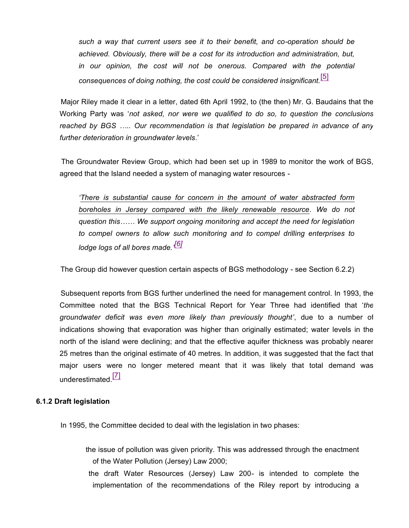*such a way that current users see it to their benefit, and co-operation should be achieved. Obviously, there will be a cost for its introduction and administration, but, in our opinion, the cost will not be onerous. Compared with the potential consequences of doing nothing, the cost could be considered insignificant.*[5]

 Major Riley made it clear in a letter, dated 6th April 1992, to (the then) Mr. G. Baudains that the Working Party was '*not asked, nor were we qualified to do so, to question the conclusions reached by BGS ….. Our recommendation is that legislation be prepared in advance of any further deterioration in groundwater levels*.'

 The Groundwater Review Group, which had been set up in 1989 to monitor the work of BGS, agreed that the Island needed a system of managing water resources -

*'There is substantial cause for concern in the amount of water abstracted form boreholes in Jersey compared with the likely renewable resource. We do not question this…… We support ongoing monitoring and accept the need for legislation to compel owners to allow such monitoring and to compel drilling enterprises to lodge logs of all bores made.' [6]*

The Group did however question certain aspects of BGS methodology - see Section 6.2.2)

 Subsequent reports from BGS further underlined the need for management control. In 1993, the Committee noted that the BGS Technical Report for Year Three had identified that '*the groundwater deficit was even more likely than previously thought'*, due to a number of indications showing that evaporation was higher than originally estimated; water levels in the north of the island were declining; and that the effective aquifer thickness was probably nearer 25 metres than the original estimate of 40 metres. In addition, it was suggested that the fact that major users were no longer metered meant that it was likely that total demand was underestimated  $\boxed{7}$ 

#### **6.1.2 Draft legislation**

In 1995, the Committee decided to deal with the legislation in two phases:

 the issue of pollution was given priority. This was addressed through the enactment of the Water Pollution (Jersey) Law 2000;

 the draft Water Resources (Jersey) Law 200- is intended to complete the implementation of the recommendations of the Riley report by introducing a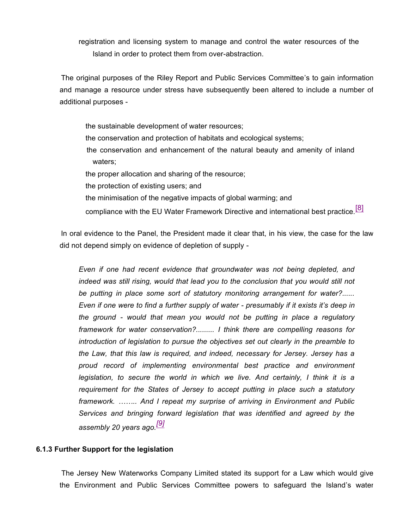registration and licensing system to manage and control the water resources of the Island in order to protect them from over-abstraction.

 The original purposes of the Riley Report and Public Services Committee's to gain information and manage a resource under stress have subsequently been altered to include a number of additional purposes -

 the sustainable development of water resources; the conservation and protection of habitats and ecological systems; the conservation and enhancement of the natural beauty and amenity of inland waters; the proper allocation and sharing of the resource; the protection of existing users; and the minimisation of the negative impacts of global warming; and

compliance with the EU Water Framework Directive and international best practice.<sup>[8]</sup>

 In oral evidence to the Panel, the President made it clear that, in his view, the case for the law did not depend simply on evidence of depletion of supply -

*Even if one had recent evidence that groundwater was not being depleted, and indeed was still rising, would that lead you to the conclusion that you would still not be putting in place some sort of statutory monitoring arrangement for water?...... Even if one were to find a further supply of water - presumably if it exists it's deep in the ground - would that mean you would not be putting in place a regulatory framework for water conservation?......... I think there are compelling reasons for introduction of legislation to pursue the objectives set out clearly in the preamble to the Law, that this law is required, and indeed, necessary for Jersey. Jersey has a proud record of implementing environmental best practice and environment legislation, to secure the world in which we live. And certainly, I think it is a requirement for the States of Jersey to accept putting in place such a statutory framework. …….. And I repeat my surprise of arriving in Environment and Public Services and bringing forward legislation that was identified and agreed by the assembly 20 years ago.[9]*

#### **6.1.3 Further Support for the legislation**

 The Jersey New Waterworks Company Limited stated its support for a Law which would give the Environment and Public Services Committee powers to safeguard the Island's water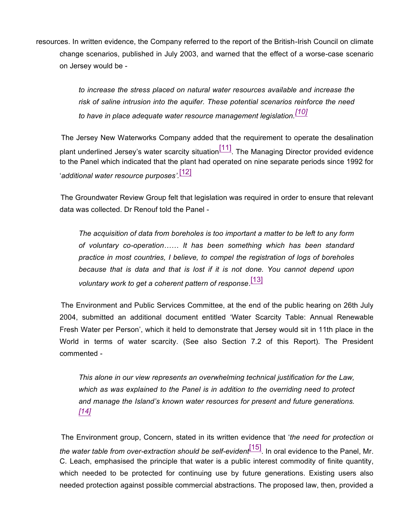resources. In written evidence, the Company referred to the report of the British-Irish Council on climate change scenarios, published in July 2003, and warned that the effect of a worse-case scenario on Jersey would be -

> *to increase the stress placed on natural water resources available and increase the risk of saline intrusion into the aquifer. These potential scenarios reinforce the need to have in place adequate water resource management legislation.[10]*

 The Jersey New Waterworks Company added that the requirement to operate the desalination plant underlined Jersey's water scarcity situation<sup>[11]</sup>. The Managing Director provided evidence to the Panel which indicated that the plant had operated on nine separate periods since 1992 for '*additional water resource purposes'.* [12]

 The Groundwater Review Group felt that legislation was required in order to ensure that relevant data was collected. Dr Renouf told the Panel -

*The acquisition of data from boreholes is too important a matter to be left to any form of voluntary co-operation…… It has been something which has been standard practice in most countries, I believe, to compel the registration of logs of boreholes because that is data and that is lost if it is not done. You cannot depend upon voluntary work to get a coherent pattern of response*. [13]

 The Environment and Public Services Committee, at the end of the public hearing on 26th July 2004, submitted an additional document entitled 'Water Scarcity Table: Annual Renewable Fresh Water per Person', which it held to demonstrate that Jersey would sit in 11th place in the World in terms of water scarcity. (See also Section 7.2 of this Report). The President commented -

*This alone in our view represents an overwhelming technical justification for the Law, which as was explained to the Panel is in addition to the overriding need to protect and manage the Island's known water resources for present and future generations. [14]*

 The Environment group, Concern, stated in its written evidence that '*the need for protection of the water table from over-extraction should be self-evident*[15]. In oral evidence to the Panel, Mr. C. Leach, emphasised the principle that water is a public interest commodity of finite quantity, which needed to be protected for continuing use by future generations. Existing users also needed protection against possible commercial abstractions. The proposed law, then, provided a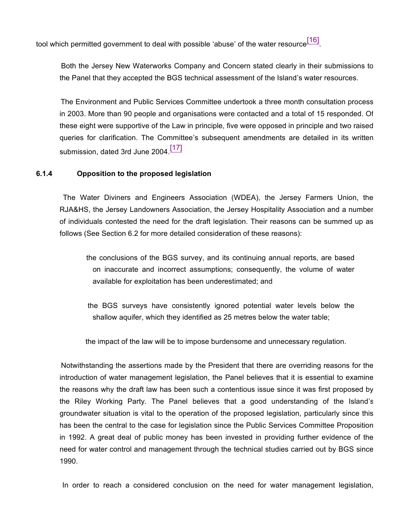tool which permitted government to deal with possible 'abuse' of the water resource $\tfrac{[16]}{[16]}$ 

 Both the Jersey New Waterworks Company and Concern stated clearly in their submissions to the Panel that they accepted the BGS technical assessment of the Island's water resources.

 The Environment and Public Services Committee undertook a three month consultation process in 2003. More than 90 people and organisations were contacted and a total of 15 responded. Of these eight were supportive of the Law in principle, five were opposed in principle and two raised queries for clarification. The Committee's subsequent amendments are detailed in its written submission, dated 3rd June 2004.<sup>[17]</sup>

### **6.1.4 Opposition to the proposed legislation**

 The Water Diviners and Engineers Association (WDEA), the Jersey Farmers Union, the RJA&HS, the Jersey Landowners Association, the Jersey Hospitality Association and a number of individuals contested the need for the draft legislation. Their reasons can be summed up as follows (See Section 6.2 for more detailed consideration of these reasons):

 the conclusions of the BGS survey, and its continuing annual reports, are based on inaccurate and incorrect assumptions; consequently, the volume of water available for exploitation has been underestimated; and

 the BGS surveys have consistently ignored potential water levels below the shallow aquifer, which they identified as 25 metres below the water table;

the impact of the law will be to impose burdensome and unnecessary regulation.

 Notwithstanding the assertions made by the President that there are overriding reasons for the introduction of water management legislation, the Panel believes that it is essential to examine the reasons why the draft law has been such a contentious issue since it was first proposed by the Riley Working Party. The Panel believes that a good understanding of the Island's groundwater situation is vital to the operation of the proposed legislation, particularly since this has been the central to the case for legislation since the Public Services Committee Proposition in 1992. A great deal of public money has been invested in providing further evidence of the need for water control and management through the technical studies carried out by BGS since 1990.

In order to reach a considered conclusion on the need for water management legislation,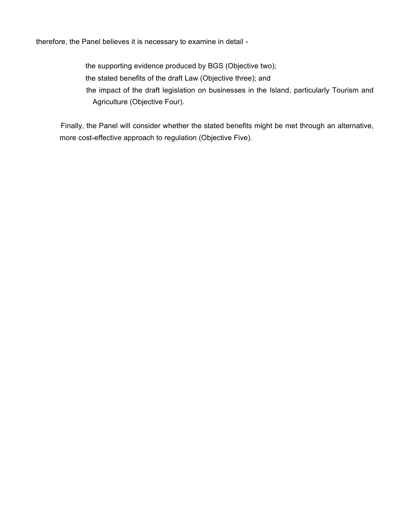therefore, the Panel believes it is necessary to examine in detail -

 the supporting evidence produced by BGS (Objective two); the stated benefits of the draft Law (Objective three); and the impact of the draft legislation on businesses in the Island, particularly Tourism and Agriculture (Objective Four).

 Finally, the Panel will consider whether the stated benefits might be met through an alternative, more cost-effective approach to regulation (Objective Five).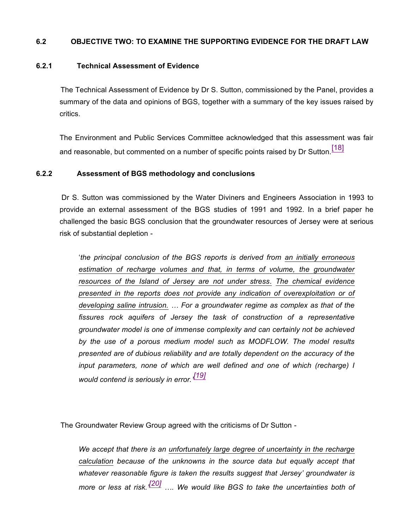#### **6.2 OBJECTIVE TWO: TO EXAMINE THE SUPPORTING EVIDENCE FOR THE DRAFT LAW**

#### **6.2.1 Technical Assessment of Evidence**

 The Technical Assessment of Evidence by Dr S. Sutton, commissioned by the Panel, provides a summary of the data and opinions of BGS, together with a summary of the key issues raised by critics.

The Environment and Public Services Committee acknowledged that this assessment was fair and reasonable, but commented on a number of specific points raised by Dr Sutton.<sup>[18]</sup>

#### **6.2.2 Assessment of BGS methodology and conclusions**

 Dr S. Sutton was commissioned by the Water Diviners and Engineers Association in 1993 to provide an external assessment of the BGS studies of 1991 and 1992. In a brief paper he challenged the basic BGS conclusion that the groundwater resources of Jersey were at serious risk of substantial depletion -

'*the principal conclusion of the BGS reports is derived from an initially erroneous estimation of recharge volumes and that, in terms of volume, the groundwater resources of the Island of Jersey are not under stress*. *The chemical evidence presented in the reports does not provide any indication of overexploitation or of developing saline intrusion. … For a groundwater regime as complex as that of the fissures rock aquifers of Jersey the task of construction of a representative groundwater model is one of immense complexity and can certainly not be achieved by the use of a porous medium model such as MODFLOW. The model results presented are of dubious reliability and are totally dependent on the accuracy of the input parameters, none of which are well defined and one of which (recharge) I would contend is seriously in error.' [19]*

The Groundwater Review Group agreed with the criticisms of Dr Sutton -

*We accept that there is an unfortunately large degree of uncertainty in the recharge calculation because of the unknowns in the source data but equally accept that whatever reasonable figure is taken the results suggest that Jersey' groundwater is more or less at risk.' [20] …. We would like BGS to take the uncertainties both of*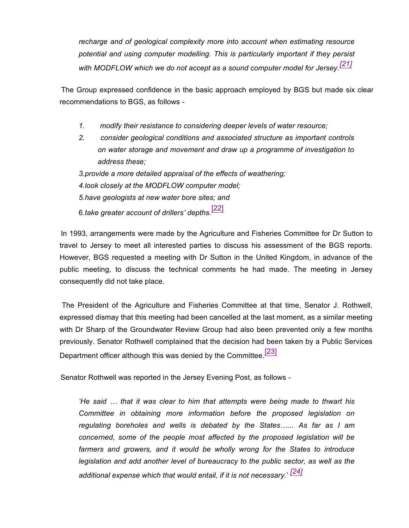*recharge and of geological complexity more into account when estimating resource potential and using computer modelling. This is particularly important if they persist with MODFLOW which we do not accept as a sound computer model for Jersey.[21]*

 The Group expressed confidence in the basic approach employed by BGS but made six clear recommendations to BGS, as follows -

- *1. modify their resistance to considering deeper levels of water resource;*
- *2. consider geological conditions and associated structure as important controls on water storage and movement and draw up a programme of investigation to address these;*

*3.provide a more detailed appraisal of the effects of weathering; 4.look closely at the MODFLOW computer model; 5.have geologists at new water bore sites; and* 6.*take greater account of drillers' depths.*[22]

 In 1993, arrangements were made by the Agriculture and Fisheries Committee for Dr Sutton to travel to Jersey to meet all interested parties to discuss his assessment of the BGS reports. However, BGS requested a meeting with Dr Sutton in the United Kingdom, in advance of the public meeting, to discuss the technical comments he had made. The meeting in Jersey consequently did not take place.

 The President of the Agriculture and Fisheries Committee at that time, Senator J. Rothwell, expressed dismay that this meeting had been cancelled at the last moment, as a similar meeting with Dr Sharp of the Groundwater Review Group had also been prevented only a few months previously. Senator Rothwell complained that the decision had been taken by a Public Services Department officer although this was denied by the Committee.<sup>[23]</sup>

Senator Rothwell was reported in the Jersey Evening Post, as follows -

*'He said … that it was clear to him that attempts were being made to thwart his Committee in obtaining more information before the proposed legislation on regulating boreholes and wells is debated by the States…... As far as I am concerned, some of the people most affected by the proposed legislation will be farmers and growers, and it would be wholly wrong for the States to introduce legislation and add another level of bureaucracy to the public sector, as well as the additional expense which that would entail, if it is not necessary.*' *[24]*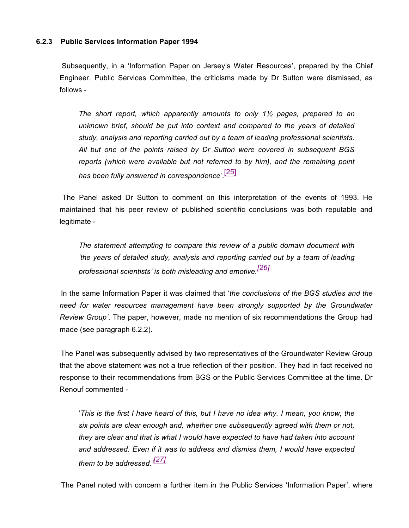#### **6.2.3 Public Services Information Paper 1994**

 Subsequently, in a 'Information Paper on Jersey's Water Resources', prepared by the Chief Engineer, Public Services Committee, the criticisms made by Dr Sutton were dismissed, as follows -

*The short report, which apparently amounts to only 1½ pages, prepared to an unknown brief, should be put into context and compared to the years of detailed study, analysis and reporting carried out by a team of leading professional scientists. All but one of the points raised by Dr Sutton were covered in subsequent BGS reports (which were available but not referred to by him), and the remaining point has been fully answered in correspondence*'. [25]

 The Panel asked Dr Sutton to comment on this interpretation of the events of 1993. He maintained that his peer review of published scientific conclusions was both reputable and legitimate -

*The statement attempting to compare this review of a public domain document with 'the years of detailed study, analysis and reporting carried out by a team of leading professional scientists' is both misleading and emotive.[26]*

 In the same Information Paper it was claimed that '*the conclusions of the BGS studies and the need for water resources management have been strongly supported by the Groundwater Review Group'*. The paper, however, made no mention of six recommendations the Group had made (see paragraph 6.2.2).

 The Panel was subsequently advised by two representatives of the Groundwater Review Group that the above statement was not a true reflection of their position. They had in fact received no response to their recommendations from BGS or the Public Services Committee at the time. Dr Renouf commented -

'*This is the first I have heard of this, but I have no idea why. I mean, you know, the six points are clear enough and, whether one subsequently agreed with them or not, they are clear and that is what I would have expected to have had taken into account and addressed. Even if it was to address and dismiss them, I would have expected them to be addressed.' [27]*

The Panel noted with concern a further item in the Public Services 'Information Paper', where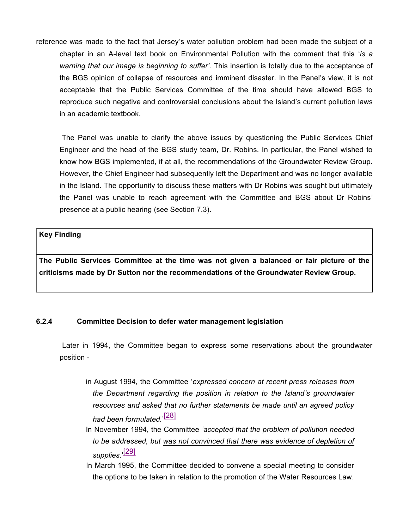reference was made to the fact that Jersey's water pollution problem had been made the subject of a chapter in an A-level text book on Environmental Pollution with the comment that this '*is a warning that our image is beginning to suffer'.* This insertion is totally due to the acceptance of the BGS opinion of collapse of resources and imminent disaster. In the Panel's view, it is not acceptable that the Public Services Committee of the time should have allowed BGS to reproduce such negative and controversial conclusions about the Island's current pollution laws in an academic textbook.

 The Panel was unable to clarify the above issues by questioning the Public Services Chief Engineer and the head of the BGS study team, Dr. Robins. In particular, the Panel wished to know how BGS implemented, if at all, the recommendations of the Groundwater Review Group. However, the Chief Engineer had subsequently left the Department and was no longer available in the Island. The opportunity to discuss these matters with Dr Robins was sought but ultimately the Panel was unable to reach agreement with the Committee and BGS about Dr Robins' presence at a public hearing (see Section 7.3).

### **Key Finding**

**The Public Services Committee at the time was not given a balanced or fair picture of the criticisms made by Dr Sutton nor the recommendations of the Groundwater Review Group.**

### **6.2.4 Committee Decision to defer water management legislation**

 Later in 1994, the Committee began to express some reservations about the groundwater position -

- in August 1994, the Committee '*expressed concern at recent press releases from the Department regarding the position in relation to the Island's groundwater resources and asked that no further statements be made until an agreed policy had been formulated.*' [28]
- In November 1994, the Committee *'accepted that the problem of pollution needed to be addressed, but was not convinced that there was evidence of depletion of supplies*.' [29]
- In March 1995, the Committee decided to convene a special meeting to consider the options to be taken in relation to the promotion of the Water Resources Law.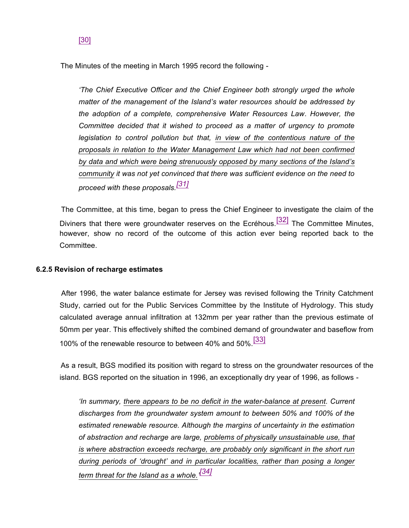The Minutes of the meeting in March 1995 record the following -

*'The Chief Executive Officer and the Chief Engineer both strongly urged the whole matter of the management of the Island's water resources should be addressed by the adoption of a complete, comprehensive Water Resources Law*. *However, the Committee decided that it wished to proceed as a matter of urgency to promote legislation to control pollution but that, in view of the contentious nature of the proposals in relation to the Water Management Law which had not been confirmed by data and which were being strenuously opposed by many sections of the Island's community it was not yet convinced that there was sufficient evidence on the need to proceed with these proposals.[31]*

 The Committee, at this time, began to press the Chief Engineer to investigate the claim of the Diviners that there were groundwater reserves on the Ecréhous.<sup>[32]</sup> The Committee Minutes, however, show no record of the outcome of this action ever being reported back to the Committee.

### **6.2.5 Revision of recharge estimates**

 After 1996, the water balance estimate for Jersey was revised following the Trinity Catchment Study, carried out for the Public Services Committee by the Institute of Hydrology. This study calculated average annual infiltration at 132mm per year rather than the previous estimate of 50mm per year. This effectively shifted the combined demand of groundwater and baseflow from 100% of the renewable resource to between 40% and 50%.[33]

 As a result, BGS modified its position with regard to stress on the groundwater resources of the island. BGS reported on the situation in 1996, an exceptionally dry year of 1996, as follows -

*'In summary, there appears to be no deficit in the water-balance at present. Current discharges from the groundwater system amount to between 50% and 100% of the estimated renewable resource. Although the margins of uncertainty in the estimation of abstraction and recharge are large, problems of physically unsustainable use, that is where abstraction exceeds recharge, are probably only significant in the short run during periods of 'drought' and in particular localities, rather than posing a longer term threat for the Island as a whole.' [34]*

### [30]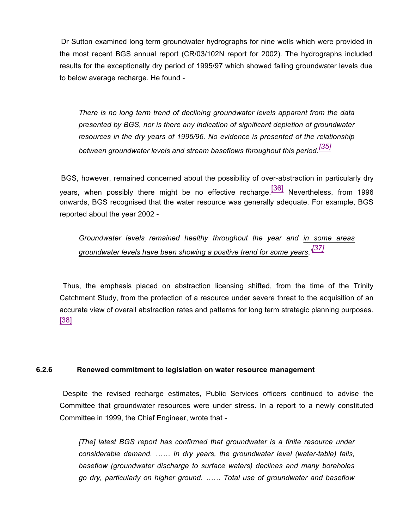Dr Sutton examined long term groundwater hydrographs for nine wells which were provided in the most recent BGS annual report (CR/03/102N report for 2002). The hydrographs included results for the exceptionally dry period of 1995/97 which showed falling groundwater levels due to below average recharge. He found -

*There is no long term trend of declining groundwater levels apparent from the data presented by BGS, nor is there any indication of significant depletion of groundwater resources in the dry years of 1995/96. No evidence is presented of the relationship between groundwater levels and stream baseflows throughout this period.[35]*

 BGS, however, remained concerned about the possibility of over-abstraction in particularly dry years, when possibly there might be no effective recharge.  $[36]$  Nevertheless, from 1996 onwards, BGS recognised that the water resource was generally adequate. For example, BGS reported about the year 2002 -

*Groundwater levels remained healthy throughout the year and in some areas groundwater levels have been showing a positive trend for some years.' [37]*

 Thus, the emphasis placed on abstraction licensing shifted, from the time of the Trinity Catchment Study, from the protection of a resource under severe threat to the acquisition of an accurate view of overall abstraction rates and patterns for long term strategic planning purposes. [38]

#### **6.2.6 Renewed commitment to legislation on water resource management**

 Despite the revised recharge estimates, Public Services officers continued to advise the Committee that groundwater resources were under stress. In a report to a newly constituted Committee in 1999, the Chief Engineer, wrote that -

*[The] latest BGS report has confirmed that groundwater is a finite resource under considerable demand. …… In dry years, the groundwater level (water-table) falls, baseflow (groundwater discharge to surface waters) declines and many boreholes go dry, particularly on higher ground. …… Total use of groundwater and baseflow*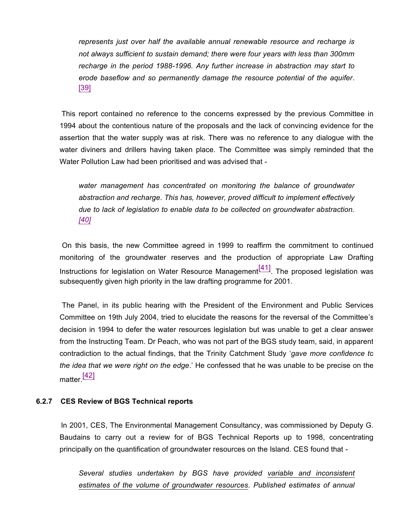*represents just over half the available annual renewable resource and recharge is not always sufficient to sustain demand; there were four years with less than 300mm recharge in the period 1988-1996. Any further increase in abstraction may start to erode baseflow and so permanently damage the resource potential of the aquifer*. [39]

 This report contained no reference to the concerns expressed by the previous Committee in 1994 about the contentious nature of the proposals and the lack of convincing evidence for the assertion that the water supply was at risk. There was no reference to any dialogue with the water diviners and drillers having taken place. The Committee was simply reminded that the Water Pollution Law had been prioritised and was advised that -

*water management has concentrated on monitoring the balance of groundwater abstraction and recharge*. *This has, however, proved difficult to implement effectively due to lack of legislation to enable data to be collected on groundwater abstraction. [40]*

 On this basis, the new Committee agreed in 1999 to reaffirm the commitment to continued monitoring of the groundwater reserves and the production of appropriate Law Drafting Instructions for legislation on Water Resource Management $\frac{[41]}{[41]}$ . The proposed legislation was subsequently given high priority in the law drafting programme for 2001.

 The Panel, in its public hearing with the President of the Environment and Public Services Committee on 19th July 2004, tried to elucidate the reasons for the reversal of the Committee's decision in 1994 to defer the water resources legislation but was unable to get a clear answer from the Instructing Team. Dr Peach, who was not part of the BGS study team, said, in apparent contradiction to the actual findings, that the Trinity Catchment Study '*gave more confidence to the idea that we were right on the edge*.' He confessed that he was unable to be precise on the matter $\frac{[42]}{[42]}$ 

#### **6.2.7 CES Review of BGS Technical reports**

 In 2001, CES, The Environmental Management Consultancy, was commissioned by Deputy G. Baudains to carry out a review for of BGS Technical Reports up to 1998, concentrating principally on the quantification of groundwater resources on the Island. CES found that -

*Several studies undertaken by BGS have provided variable and inconsistent estimates of the volume of groundwater resources. Published estimates of annual*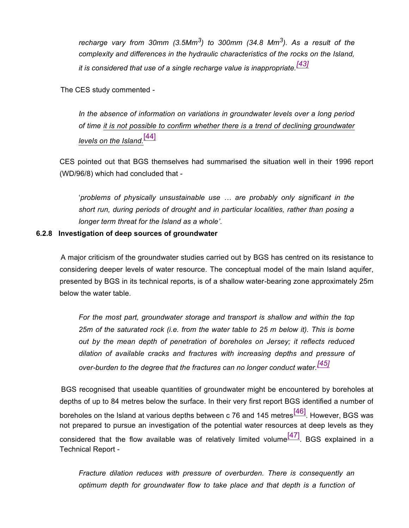*recharge vary from 30mm (3.5Mm<sup>3</sup> ) to 300mm (34.8 Mm<sup>3</sup> ). As a result of the complexity and differences in the hydraulic characteristics of the rocks on the Island, it is considered that use of a single recharge value is inappropriate.[43]*

The CES study commented -

*In the absence of information on variations in groundwater levels over a long period of time it is not possible to confirm whether there is a trend of declining groundwater levels on the Island.*[44]

CES pointed out that BGS themselves had summarised the situation well in their 1996 report (WD/96/8) which had concluded that -

'*problems of physically unsustainable use … are probably only significant in the short run, during periods of drought and in particular localities, rather than posing a longer term threat for the Island as a whole'*.

#### **6.2.8 Investigation of deep sources of groundwater**

 A major criticism of the groundwater studies carried out by BGS has centred on its resistance to considering deeper levels of water resource. The conceptual model of the main Island aquifer, presented by BGS in its technical reports, is of a shallow water-bearing zone approximately 25m below the water table.

*For the most part, groundwater storage and transport is shallow and within the top 25m of the saturated rock (i.e. from the water table to 25 m below it). This is borne out by the mean depth of penetration of boreholes on Jersey; it reflects reduced dilation of available cracks and fractures with increasing depths and pressure of over-burden to the degree that the fractures can no longer conduct water.[45]*

 BGS recognised that useable quantities of groundwater might be encountered by boreholes at depths of up to 84 metres below the surface. In their very first report BGS identified a number of boreholes on the Island at various depths between c 76 and 145 metres<sup>[46]</sup>. However, BGS was not prepared to pursue an investigation of the potential water resources at deep levels as they considered that the flow available was of relatively limited volume  $\frac{[47]}{[47]}$ . BGS explained in a Technical Report -

*Fracture dilation reduces with pressure of overburden. There is consequently an optimum depth for groundwater flow to take place and that depth is a function of*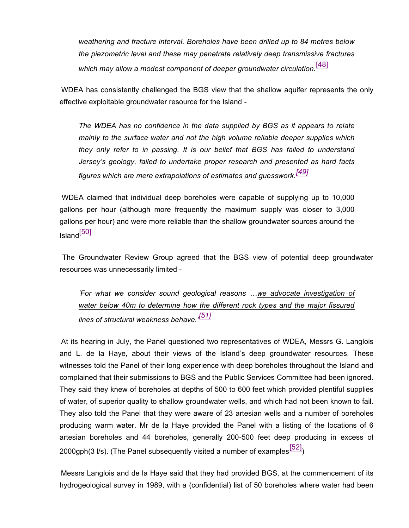*weathering and fracture interval. Boreholes have been drilled up to 84 metres below the piezometric level and these may penetrate relatively deep transmissive fractures which may allow a modest component of deeper groundwater circulation.*[48]

 WDEA has consistently challenged the BGS view that the shallow aquifer represents the only effective exploitable groundwater resource for the Island -

*The WDEA has no confidence in the data supplied by BGS as it appears to relate mainly to the surface water and not the high volume reliable deeper supplies which they only refer to in passing. It is our belief that BGS has failed to understand Jersey's geology, failed to undertake proper research and presented as hard facts figures which are mere extrapolations of estimates and guesswork.[49]*

 WDEA claimed that individual deep boreholes were capable of supplying up to 10,000 gallons per hour (although more frequently the maximum supply was closer to 3,000 gallons per hour) and were more reliable than the shallow groundwater sources around the Island<sup>[50]</sup>

 The Groundwater Review Group agreed that the BGS view of potential deep groundwater resources was unnecessarily limited -

*'For what we consider sound geological reasons …we advocate investigation of water below 40m to determine how the different rock types and the major fissured lines of structural weakness behave.' [51]*

 At its hearing in July, the Panel questioned two representatives of WDEA, Messrs G. Langlois and L. de la Haye, about their views of the Island's deep groundwater resources. These witnesses told the Panel of their long experience with deep boreholes throughout the Island and complained that their submissions to BGS and the Public Services Committee had been ignored. They said they knew of boreholes at depths of 500 to 600 feet which provided plentiful supplies of water, of superior quality to shallow groundwater wells, and which had not been known to fail. They also told the Panel that they were aware of 23 artesian wells and a number of boreholes producing warm water. Mr de la Haye provided the Panel with a listing of the locations of 6 artesian boreholes and 44 boreholes, generally 200-500 feet deep producing in excess of 2000gph(3 l/s). (The Panel subsequently visited a number of examples  $\frac{[52]}{[52]}$ )

 Messrs Langlois and de la Haye said that they had provided BGS, at the commencement of its hydrogeological survey in 1989, with a (confidential) list of 50 boreholes where water had been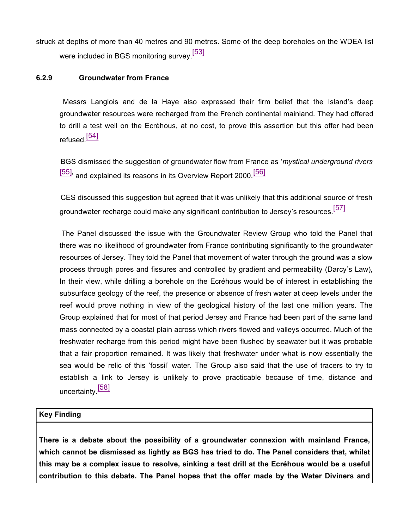struck at depths of more than 40 metres and 90 metres. Some of the deep boreholes on the WDEA list were included in BGS monitoring survey.<sup>[53]</sup>

### **6.2.9 Groundwater from France**

 Messrs Langlois and de la Haye also expressed their firm belief that the Island's deep groundwater resources were recharged from the French continental mainland. They had offered to drill a test well on the Ecréhous, at no cost, to prove this assertion but this offer had been refused.<sup>[54]</sup>

 BGS dismissed the suggestion of groundwater flow from France as '*mystical underground rivers* [55], and explained its reasons in its Overview Report 2000.<sup>[56]</sup>

 CES discussed this suggestion but agreed that it was unlikely that this additional source of fresh groundwater recharge could make any significant contribution to Jersey's resources.<sup>[57]</sup>

 The Panel discussed the issue with the Groundwater Review Group who told the Panel that there was no likelihood of groundwater from France contributing significantly to the groundwater resources of Jersey. They told the Panel that movement of water through the ground was a slow process through pores and fissures and controlled by gradient and permeability (Darcy's Law), In their view, while drilling a borehole on the Ecréhous would be of interest in establishing the subsurface geology of the reef, the presence or absence of fresh water at deep levels under the reef would prove nothing in view of the geological history of the last one million years. The Group explained that for most of that period Jersey and France had been part of the same land mass connected by a coastal plain across which rivers flowed and valleys occurred. Much of the freshwater recharge from this period might have been flushed by seawater but it was probable that a fair proportion remained. It was likely that freshwater under what is now essentially the sea would be relic of this 'fossil' water. The Group also said that the use of tracers to try to establish a link to Jersey is unlikely to prove practicable because of time, distance and uncertainty.<sup>[58]</sup>

### **Key Finding**

**There is a debate about the possibility of a groundwater connexion with mainland France, which cannot be dismissed as lightly as BGS has tried to do. The Panel considers that, whilst this may be a complex issue to resolve, sinking a test drill at the Ecréhous would be a useful contribution to this debate. The Panel hopes that the offer made by the Water Diviners and**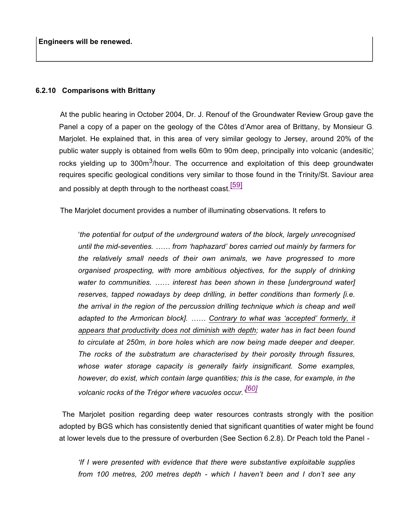#### **6.2.10 Comparisons with Brittany**

 At the public hearing in October 2004, Dr. J. Renouf of the Groundwater Review Group gave the Panel a copy of a paper on the geology of the Côtes d'Amor area of Brittany, by Monsieur G. Marjolet. He explained that, in this area of very similar geology to Jersey, around 20% of the public water supply is obtained from wells 60m to 90m deep, principally into volcanic (andesitic) rocks yielding up to 300m<sup>3</sup>/hour. The occurrence and exploitation of this deep groundwater requires specific geological conditions very similar to those found in the Trinity/St. Saviour area and possibly at depth through to the northeast coast.<sup>[59]</sup>

The Marjolet document provides a number of illuminating observations. It refers to

'*the potential for output of the underground waters of the block, largely unrecognised until the mid-seventies. …… from 'haphazard' bores carried out mainly by farmers for the relatively small needs of their own animals, we have progressed to more organised prospecting, with more ambitious objectives, for the supply of drinking water to communities. …… interest has been shown in these [underground water] reserves, tapped nowadays by deep drilling, in better conditions than formerly [i.e. the arrival in the region of the percussion drilling technique which is cheap and well adapted to the Armorican block]. …… Contrary to what was 'accepted' formerly, it appears that productivity does not diminish with depth; water has in fact been found to circulate at 250m, in bore holes which are now being made deeper and deeper. The rocks of the substratum are characterised by their porosity through fissures, whose water storage capacity is generally fairly insignificant. Some examples, however, do exist, which contain large quantities; this is the case, for example, in the volcanic rocks of the Trégor where vacuoles occur.' [60]*

 The Marjolet position regarding deep water resources contrasts strongly with the position adopted by BGS which has consistently denied that significant quantities of water might be found at lower levels due to the pressure of overburden (See Section 6.2.8). Dr Peach told the Panel -

*'If I were presented with evidence that there were substantive exploitable supplies from 100 metres, 200 metres depth - which I haven't been and I don't see any*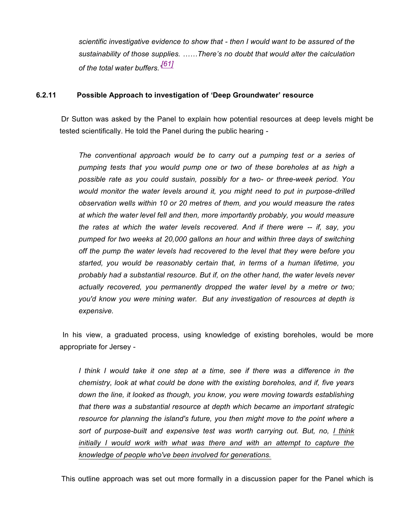*scientific investigative evidence to show that - then I would want to be assured of the sustainability of those supplies. ……There's no doubt that would alter the calculation of the total water buffers.' [61]*

### **6.2.11 Possible Approach to investigation of 'Deep Groundwater' resource**

 Dr Sutton was asked by the Panel to explain how potential resources at deep levels might be tested scientifically. He told the Panel during the public hearing -

*The conventional approach would be to carry out a pumping test or a series of pumping tests that you would pump one or two of these boreholes at as high a possible rate as you could sustain, possibly for a two- or three-week period. You would monitor the water levels around it, you might need to put in purpose-drilled observation wells within 10 or 20 metres of them, and you would measure the rates at which the water level fell and then, more importantly probably, you would measure the rates at which the water levels recovered. And if there were -- if, say, you pumped for two weeks at 20,000 gallons an hour and within three days of switching off the pump the water levels had recovered to the level that they were before you started, you would be reasonably certain that, in terms of a human lifetime, you probably had a substantial resource. But if, on the other hand, the water levels never actually recovered, you permanently dropped the water level by a metre or two; you'd know you were mining water. But any investigation of resources at depth is expensive.*

 In his view, a graduated process, using knowledge of existing boreholes, would be more appropriate for Jersey -

*I think I would take it one step at a time, see if there was a difference in the chemistry, look at what could be done with the existing boreholes, and if, five years down the line, it looked as though, you know, you were moving towards establishing that there was a substantial resource at depth which became an important strategic resource for planning the island's future, you then might move to the point where a sort of purpose-built and expensive test was worth carrying out. But, no, I think initially I would work with what was there and with an attempt to capture the knowledge of people who've been involved for generations.*

This outline approach was set out more formally in a discussion paper for the Panel which is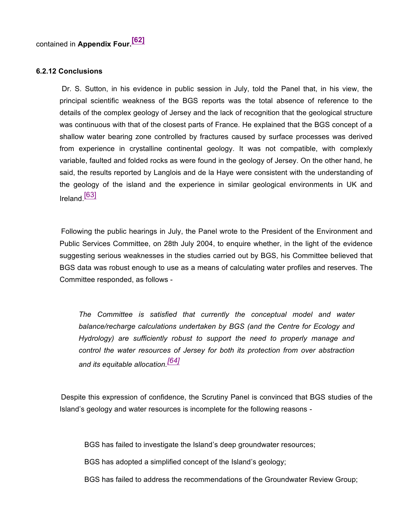#### **6.2.12 Conclusions**

 Dr. S. Sutton, in his evidence in public session in July, told the Panel that, in his view, the principal scientific weakness of the BGS reports was the total absence of reference to the details of the complex geology of Jersey and the lack of recognition that the geological structure was continuous with that of the closest parts of France. He explained that the BGS concept of a shallow water bearing zone controlled by fractures caused by surface processes was derived from experience in crystalline continental geology. It was not compatible, with complexly variable, faulted and folded rocks as were found in the geology of Jersey. On the other hand, he said, the results reported by Langlois and de la Haye were consistent with the understanding of the geology of the island and the experience in similar geological environments in UK and Ireland [63]

 Following the public hearings in July, the Panel wrote to the President of the Environment and Public Services Committee, on 28th July 2004, to enquire whether, in the light of the evidence suggesting serious weaknesses in the studies carried out by BGS, his Committee believed that BGS data was robust enough to use as a means of calculating water profiles and reserves. The Committee responded, as follows -

*The Committee is satisfied that currently the conceptual model and water balance/recharge calculations undertaken by BGS (and the Centre for Ecology and Hydrology) are sufficiently robust to support the need to properly manage and control the water resources of Jersey for both its protection from over abstraction and its equitable allocation.[64]*

 Despite this expression of confidence, the Scrutiny Panel is convinced that BGS studies of the Island's geology and water resources is incomplete for the following reasons -

BGS has failed to investigate the Island's deep groundwater resources;

BGS has adopted a simplified concept of the Island's geology;

BGS has failed to address the recommendations of the Groundwater Review Group;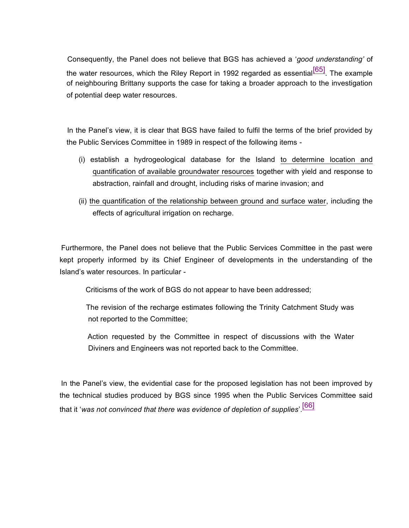Consequently, the Panel does not believe that BGS has achieved a '*good understanding'* of the water resources, which the Riley Report in 1992 regarded as essential  $[65]$ . The example of neighbouring Brittany supports the case for taking a broader approach to the investigation of potential deep water resources.

 In the Panel's view, it is clear that BGS have failed to fulfil the terms of the brief provided by the Public Services Committee in 1989 in respect of the following items -

- (i) establish a hydrogeological database for the Island to determine location and quantification of available groundwater resources together with yield and response to abstraction, rainfall and drought, including risks of marine invasion; and
- (ii) the quantification of the relationship between ground and surface water, including the effects of agricultural irrigation on recharge.

 Furthermore, the Panel does not believe that the Public Services Committee in the past were kept properly informed by its Chief Engineer of developments in the understanding of the Island's water resources. In particular -

Criticisms of the work of BGS do not appear to have been addressed;

 The revision of the recharge estimates following the Trinity Catchment Study was not reported to the Committee;

 Action requested by the Committee in respect of discussions with the Water Diviners and Engineers was not reported back to the Committee.

 In the Panel's view, the evidential case for the proposed legislation has not been improved by the technical studies produced by BGS since 1995 when the Public Services Committee said that it '*was not convinced that there was evidence of depletion of supplies*'. [66]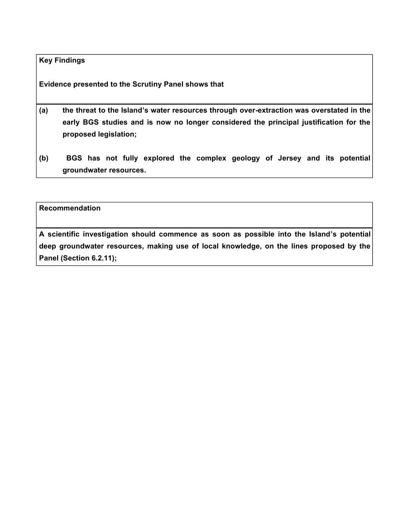### **Key Findings**

**Evidence presented to the Scrutiny Panel shows that**

- **(a) the threat to the Island's water resources through over-extraction was overstated in the early BGS studies and is now no longer considered the principal justification for the proposed legislation;**
- **(b) BGS has not fully explored the complex geology of Jersey and its potential groundwater resources.**

**Recommendation**

**A scientific investigation should commence as soon as possible into the Island's potential deep groundwater resources, making use of local knowledge, on the lines proposed by the Panel (Section 6.2.11);**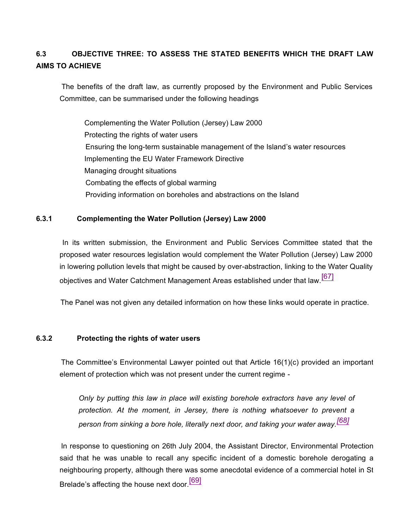# **6.3 OBJECTIVE THREE: TO ASSESS THE STATED BENEFITS WHICH THE DRAFT LAW AIMS TO ACHIEVE**

 The benefits of the draft law, as currently proposed by the Environment and Public Services Committee, can be summarised under the following headings

Complementing the Water Pollution (Jersey) Law 2000 Protecting the rights of water users Ensuring the long-term sustainable management of the Island's water resources Implementing the EU Water Framework Directive Managing drought situations Combating the effects of global warming Providing information on boreholes and abstractions on the Island

#### **6.3.1 Complementing the Water Pollution (Jersey) Law 2000**

 In its written submission, the Environment and Public Services Committee stated that the proposed water resources legislation would complement the Water Pollution (Jersey) Law 2000 in lowering pollution levels that might be caused by over-abstraction, linking to the Water Quality objectives and Water Catchment Management Areas established under that law.<sup>[67]</sup>

The Panel was not given any detailed information on how these links would operate in practice.

#### **6.3.2 Protecting the rights of water users**

 The Committee's Environmental Lawyer pointed out that Article 16(1)(c) provided an important element of protection which was not present under the current regime -

*Only by putting this law in place will existing borehole extractors have any level of protection. At the moment, in Jersey, there is nothing whatsoever to prevent a person from sinking a bore hole, literally next door, and taking your water away.[68]*

 In response to questioning on 26th July 2004, the Assistant Director, Environmental Protection said that he was unable to recall any specific incident of a domestic borehole derogating a neighbouring property, although there was some anecdotal evidence of a commercial hotel in St Brelade's affecting the house next door.<sup>[69]</sup>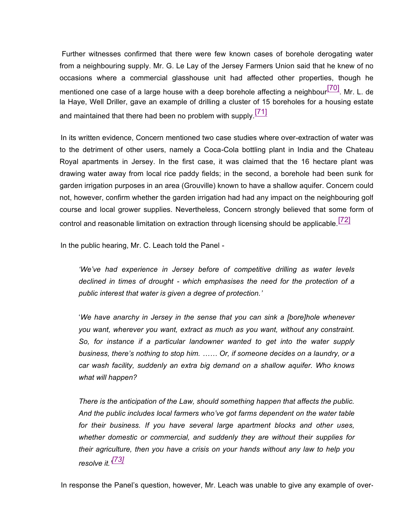Further witnesses confirmed that there were few known cases of borehole derogating water from a neighbouring supply. Mr. G. Le Lay of the Jersey Farmers Union said that he knew of no occasions where a commercial glasshouse unit had affected other properties, though he mentioned one case of a large house with a deep borehole affecting a neighbour $\frac{[70]}{[70]}$ . Mr. L. de la Haye, Well Driller, gave an example of drilling a cluster of 15 boreholes for a housing estate and maintained that there had been no problem with supply.<sup>[71]</sup>

 In its written evidence, Concern mentioned two case studies where over-extraction of water was to the detriment of other users, namely a Coca-Cola bottling plant in India and the Chateau Royal apartments in Jersey. In the first case, it was claimed that the 16 hectare plant was drawing water away from local rice paddy fields; in the second, a borehole had been sunk for garden irrigation purposes in an area (Grouville) known to have a shallow aquifer. Concern could not, however, confirm whether the garden irrigation had had any impact on the neighbouring golf course and local grower supplies. Nevertheless, Concern strongly believed that some form of control and reasonable limitation on extraction through licensing should be applicable.<sup>[72]</sup>

In the public hearing, Mr. C. Leach told the Panel -

*'We've had experience in Jersey before of competitive drilling as water levels declined in times of drought - which emphasises the need for the protection of a public interest that water is given a degree of protection.'*

'*We have anarchy in Jersey in the sense that you can sink a [bore]hole whenever you want, wherever you want, extract as much as you want, without any constraint. So, for instance if a particular landowner wanted to get into the water supply business, there's nothing to stop him. …… Or, if someone decides on a laundry, or a car wash facility, suddenly an extra big demand on a shallow aquifer. Who knows what will happen?*

*There is the anticipation of the Law, should something happen that affects the public. And the public includes local farmers who've got farms dependent on the water table for their business. If you have several large apartment blocks and other uses, whether domestic or commercial, and suddenly they are without their supplies for their agriculture, then you have a crisis on your hands without any law to help you resolve it.' [73]*

In response the Panel's question, however, Mr. Leach was unable to give any example of over-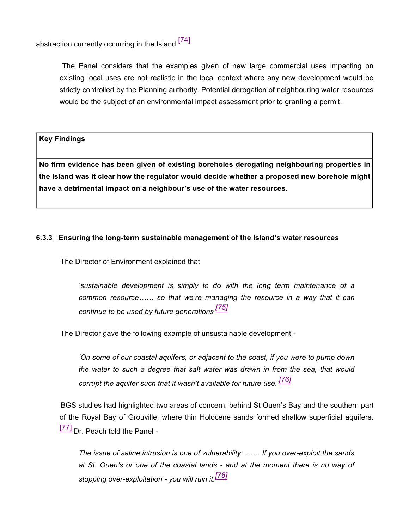abstraction currently occurring in the Island.<sup>[74]</sup>

 The Panel considers that the examples given of new large commercial uses impacting on existing local uses are not realistic in the local context where any new development would be strictly controlled by the Planning authority. Potential derogation of neighbouring water resources would be the subject of an environmental impact assessment prior to granting a permit.

**Key Findings**

**No firm evidence has been given of existing boreholes derogating neighbouring properties in the Island was it clear how the regulator would decide whether a proposed new borehole might have a detrimental impact on a neighbour's use of the water resources.**

### **6.3.3 Ensuring the long-term sustainable management of the Island's water resources**

The Director of Environment explained that

'*sustainable development is simply to do with the long term maintenance of a common resource…… so that we're managing the resource in a way that it can continue to be used by future generations' [75]*

The Director gave the following example of unsustainable development -

*'On some of our coastal aquifers, or adjacent to the coast, if you were to pump down the water to such a degree that salt water was drawn in from the sea, that would corrupt the aquifer such that it wasn't available for future use.' [76]*

 BGS studies had highlighted two areas of concern, behind St Ouen's Bay and the southern part of the Royal Bay of Grouville, where thin Holocene sands formed shallow superficial aquifers. [77] Dr. Peach told the Panel -

*The issue of saline intrusion is one of vulnerability. …… If you over-exploit the sands at St. Ouen's or one of the coastal lands - and at the moment there is no way of stopping over-exploitation - you will ruin it.[78]*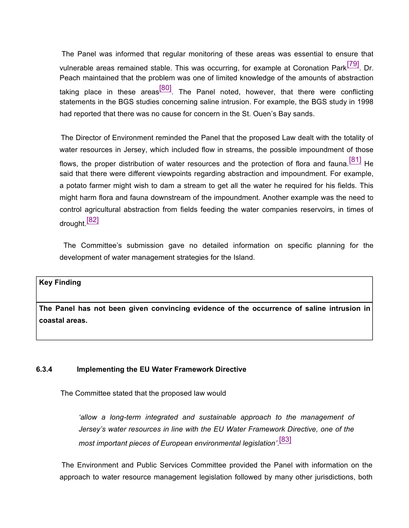The Panel was informed that regular monitoring of these areas was essential to ensure that vulnerable areas remained stable. This was occurring, for example at Coronation Park<sup>[79]</sup>. Dr. Peach maintained that the problem was one of limited knowledge of the amounts of abstraction taking place in these areas<sup>[80]</sup>. The Panel noted, however, that there were conflicting statements in the BGS studies concerning saline intrusion. For example, the BGS study in 1998 had reported that there was no cause for concern in the St. Ouen's Bay sands.

 The Director of Environment reminded the Panel that the proposed Law dealt with the totality of water resources in Jersey, which included flow in streams, the possible impoundment of those flows, the proper distribution of water resources and the protection of flora and fauna.  $[81]$  He said that there were different viewpoints regarding abstraction and impoundment. For example, a potato farmer might wish to dam a stream to get all the water he required for his fields. This might harm flora and fauna downstream of the impoundment. Another example was the need to control agricultural abstraction from fields feeding the water companies reservoirs, in times of drought<sup>[82]</sup>

 The Committee's submission gave no detailed information on specific planning for the development of water management strategies for the Island.

#### **Key Finding**

**The Panel has not been given convincing evidence of the occurrence of saline intrusion in coastal areas.**

#### **6.3.4 Implementing the EU Water Framework Directive**

The Committee stated that the proposed law would

*'allow a long-term integrated and sustainable approach to the management of Jersey's water resources in line with the EU Water Framework Directive, one of the most important pieces of European environmental legislation'*. [83]

 The Environment and Public Services Committee provided the Panel with information on the approach to water resource management legislation followed by many other jurisdictions, both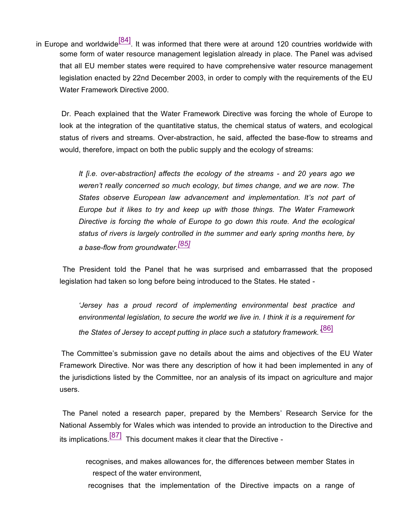in Europe and worldwide $\frac{[84]}{[84]}$ . It was informed that there were at around 120 countries worldwide with some form of water resource management legislation already in place. The Panel was advised that all EU member states were required to have comprehensive water resource management legislation enacted by 22nd December 2003, in order to comply with the requirements of the EU Water Framework Directive 2000.

 Dr. Peach explained that the Water Framework Directive was forcing the whole of Europe to look at the integration of the quantitative status, the chemical status of waters, and ecological status of rivers and streams. Over-abstraction, he said, affected the base-flow to streams and would, therefore, impact on both the public supply and the ecology of streams:

*It [i.e. over-abstraction] affects the ecology of the streams - and 20 years ago we weren't really concerned so much ecology, but times change, and we are now. The States observe European law advancement and implementation. It's not part of Europe but it likes to try and keep up with those things. The Water Framework Directive is forcing the whole of Europe to go down this route. And the ecological status of rivers is largely controlled in the summer and early spring months here, by a base-flow from groundwater.[85]*

 The President told the Panel that he was surprised and embarrassed that the proposed legislation had taken so long before being introduced to the States. He stated -

*'Jersey has a proud record of implementing environmental best practice and environmental legislation, to secure the world we live in. I think it is a requirement for the States of Jersey to accept putting in place such a statutory framework.'* [86]

 The Committee's submission gave no details about the aims and objectives of the EU Water Framework Directive. Nor was there any description of how it had been implemented in any of the jurisdictions listed by the Committee, nor an analysis of its impact on agriculture and major users.

 The Panel noted a research paper, prepared by the Members' Research Service for the National Assembly for Wales which was intended to provide an introduction to the Directive and its implications. $\frac{[87]}{[87]}$  This document makes it clear that the Directive -

- recognises, and makes allowances for, the differences between member States in respect of the water environment,
- recognises that the implementation of the Directive impacts on a range of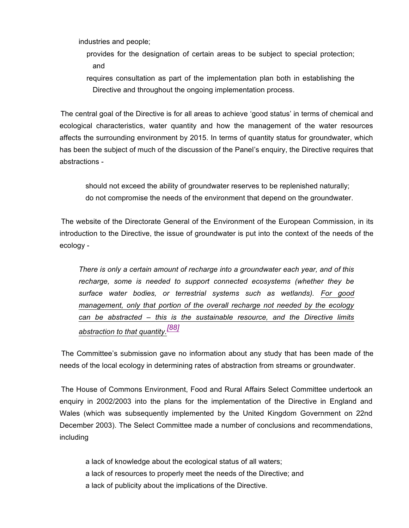industries and people;

 provides for the designation of certain areas to be subject to special protection; and

 requires consultation as part of the implementation plan both in establishing the Directive and throughout the ongoing implementation process.

 The central goal of the Directive is for all areas to achieve 'good status' in terms of chemical and ecological characteristics, water quantity and how the management of the water resources affects the surrounding environment by 2015. In terms of quantity status for groundwater, which has been the subject of much of the discussion of the Panel's enquiry, the Directive requires that abstractions -

 should not exceed the ability of groundwater reserves to be replenished naturally; do not compromise the needs of the environment that depend on the groundwater.

 The website of the Directorate General of the Environment of the European Commission, in its introduction to the Directive, the issue of groundwater is put into the context of the needs of the ecology -

*There is only a certain amount of recharge into a groundwater each year, and of this recharge, some is needed to support connected ecosystems (whether they be surface water bodies, or terrestrial systems such as wetlands). For good management, only that portion of the overall recharge not needed by the ecology can be abstracted – this is the sustainable resource, and the Directive limits abstraction to that quantity.[88]*

 The Committee's submission gave no information about any study that has been made of the needs of the local ecology in determining rates of abstraction from streams or groundwater.

 The House of Commons Environment, Food and Rural Affairs Select Committee undertook an enquiry in 2002/2003 into the plans for the implementation of the Directive in England and Wales (which was subsequently implemented by the United Kingdom Government on 22nd December 2003). The Select Committee made a number of conclusions and recommendations, including

 a lack of knowledge about the ecological status of all waters; a lack of resources to properly meet the needs of the Directive; and a lack of publicity about the implications of the Directive.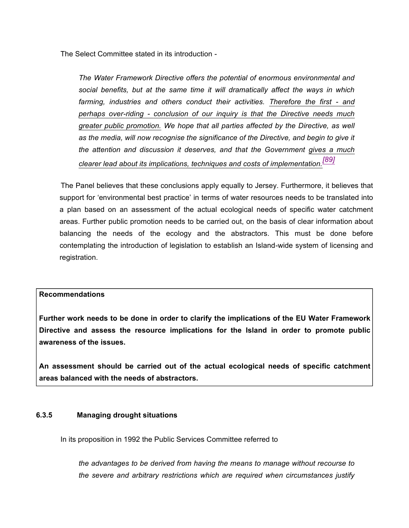The Select Committee stated in its introduction -

*The Water Framework Directive offers the potential of enormous environmental and social benefits, but at the same time it will dramatically affect the ways in which farming, industries and others conduct their activities. Therefore the first - and perhaps over-riding - conclusion of our inquiry is that the Directive needs much greater public promotion. We hope that all parties affected by the Directive, as well as the media, will now recognise the significance of the Directive, and begin to give it the attention and discussion it deserves, and that the Government gives a much clearer lead about its implications, techniques and costs of implementation.[89]*

 The Panel believes that these conclusions apply equally to Jersey. Furthermore, it believes that support for 'environmental best practice' in terms of water resources needs to be translated into a plan based on an assessment of the actual ecological needs of specific water catchment areas. Further public promotion needs to be carried out, on the basis of clear information about balancing the needs of the ecology and the abstractors. This must be done before contemplating the introduction of legislation to establish an Island-wide system of licensing and registration.

### **Recommendations**

**Further work needs to be done in order to clarify the implications of the EU Water Framework Directive and assess the resource implications for the Island in order to promote public awareness of the issues.**

**An assessment should be carried out of the actual ecological needs of specific catchment areas balanced with the needs of abstractors.**

### **6.3.5 Managing drought situations**

In its proposition in 1992 the Public Services Committee referred to

*the advantages to be derived from having the means to manage without recourse to the severe and arbitrary restrictions which are required when circumstances justify*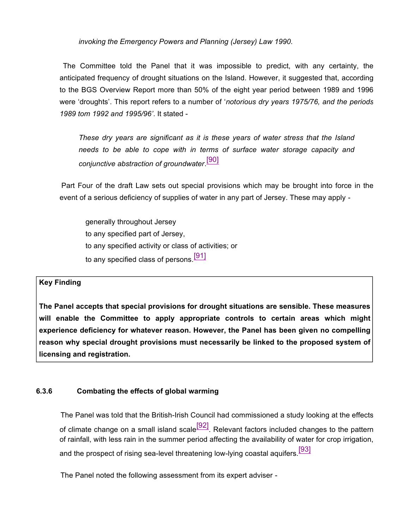*invoking the Emergency Powers and Planning (Jersey) Law 1990.*

 The Committee told the Panel that it was impossible to predict, with any certainty, the anticipated frequency of drought situations on the Island. However, it suggested that, according to the BGS Overview Report more than 50% of the eight year period between 1989 and 1996 were 'droughts'. This report refers to a number of '*notorious dry years 1975/76, and the periods 1989 tom 1992 and 1995/96'*. It stated -

*These dry years are significant as it is these years of water stress that the Island needs to be able to cope with in terms of surface water storage capacity and conjunctive abstraction of groundwater*. [90]

 Part Four of the draft Law sets out special provisions which may be brought into force in the event of a serious deficiency of supplies of water in any part of Jersey. These may apply -

 generally throughout Jersey to any specified part of Jersey, to any specified activity or class of activities; or to any specified class of persons.<sup>[91]</sup>

## **Key Finding**

**The Panel accepts that special provisions for drought situations are sensible. These measures will enable the Committee to apply appropriate controls to certain areas which might experience deficiency for whatever reason. However, the Panel has been given no compelling reason why special drought provisions must necessarily be linked to the proposed system of licensing and registration.**

## **6.3.6 Combating the effects of global warming**

 The Panel was told that the British-Irish Council had commissioned a study looking at the effects of climate change on a small island scale  $[92]$ . Relevant factors included changes to the pattern of rainfall, with less rain in the summer period affecting the availability of water for crop irrigation, and the prospect of rising sea-level threatening low-lying coastal aquifers.<sup>[93]</sup>

The Panel noted the following assessment from its expert adviser -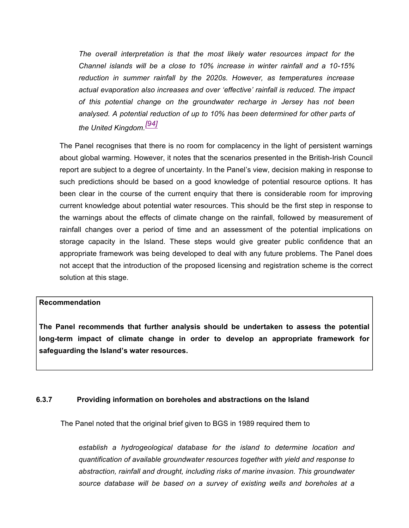*The overall interpretation is that the most likely water resources impact for the Channel islands will be a close to 10% increase in winter rainfall and a 10-15% reduction in summer rainfall by the 2020s. However, as temperatures increase actual evaporation also increases and over 'effective' rainfall is reduced. The impact of this potential change on the groundwater recharge in Jersey has not been analysed. A potential reduction of up to 10% has been determined for other parts of the United Kingdom.[94]*

The Panel recognises that there is no room for complacency in the light of persistent warnings about global warming. However, it notes that the scenarios presented in the British-Irish Council report are subject to a degree of uncertainty. In the Panel's view, decision making in response to such predictions should be based on a good knowledge of potential resource options. It has been clear in the course of the current enquiry that there is considerable room for improving current knowledge about potential water resources. This should be the first step in response to the warnings about the effects of climate change on the rainfall, followed by measurement of rainfall changes over a period of time and an assessment of the potential implications on storage capacity in the Island. These steps would give greater public confidence that an appropriate framework was being developed to deal with any future problems. The Panel does not accept that the introduction of the proposed licensing and registration scheme is the correct solution at this stage.

### **Recommendation**

**The Panel recommends that further analysis should be undertaken to assess the potential long-term impact of climate change in order to develop an appropriate framework for safeguarding the Island's water resources.**

### **6.3.7 Providing information on boreholes and abstractions on the Island**

The Panel noted that the original brief given to BGS in 1989 required them to

*establish a hydrogeological database for the island to determine location and quantification of available groundwater resources together with yield and response to abstraction, rainfall and drought, including risks of marine invasion. This groundwater source database will be based on a survey of existing wells and boreholes at a*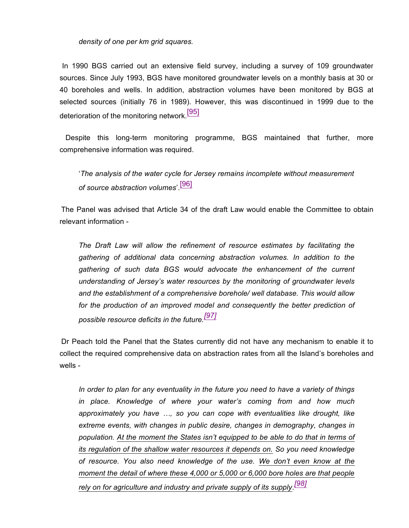### *density of one per km grid squares.*

 In 1990 BGS carried out an extensive field survey, including a survey of 109 groundwater sources. Since July 1993, BGS have monitored groundwater levels on a monthly basis at 30 or 40 boreholes and wells. In addition, abstraction volumes have been monitored by BGS at selected sources (initially 76 in 1989). However, this was discontinued in 1999 due to the deterioration of the monitoring network.<sup>[95]</sup>

 Despite this long-term monitoring programme, BGS maintained that further, more comprehensive information was required.

'*The analysis of the water cycle for Jersey remains incomplete without measurement of source abstraction volumes*'. [96]

 The Panel was advised that Article 34 of the draft Law would enable the Committee to obtain relevant information -

*The Draft Law will allow the refinement of resource estimates by facilitating the gathering of additional data concerning abstraction volumes. In addition to the gathering of such data BGS would advocate the enhancement of the current understanding of Jersey's water resources by the monitoring of groundwater levels and the establishment of a comprehensive borehole/ well database. This would allow for the production of an improved model and consequently the better prediction of possible resource deficits in the future.[97]*

 Dr Peach told the Panel that the States currently did not have any mechanism to enable it to collect the required comprehensive data on abstraction rates from all the Island's boreholes and wells -

*In order to plan for any eventuality in the future you need to have a variety of things in place. Knowledge of where your water's coming from and how much approximately you have …, so you can cope with eventualities like drought, like extreme events, with changes in public desire, changes in demography, changes in population. At the moment the States isn't equipped to be able to do that in terms of its regulation of the shallow water resources it depends on. So you need knowledge of resource. You also need knowledge of the use. We don't even know at the moment the detail of where these 4,000 or 5,000 or 6,000 bore holes are that people rely on for agriculture and industry and private supply of its supply. [98]*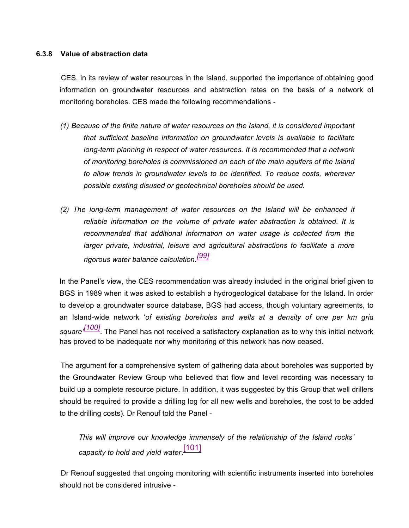### **6.3.8 Value of abstraction data**

 CES, in its review of water resources in the Island, supported the importance of obtaining good information on groundwater resources and abstraction rates on the basis of a network of monitoring boreholes. CES made the following recommendations -

- *(1) Because of the finite nature of water resources on the Island, it is considered important that sufficient baseline information on groundwater levels is available to facilitate long-term planning in respect of water resources. It is recommended that a network of monitoring boreholes is commissioned on each of the main aquifers of the Island to allow trends in groundwater levels to be identified. To reduce costs, wherever possible existing disused or geotechnical boreholes should be used.*
- *(2) The long-term management of water resources on the Island will be enhanced if reliable information on the volume of private water abstraction is obtained. It is recommended that additional information on water usage is collected from the larger private, industrial, leisure and agricultural abstractions to facilitate a more rigorous water balance calculation.[99]*

In the Panel's view, the CES recommendation was already included in the original brief given to BGS in 1989 when it was asked to establish a hydrogeological database for the Island. In order to develop a groundwater source database, BGS had access, though voluntary agreements, to an Island-wide network '*of existing boreholes and wells at a density of one per km grid square' [100]*. The Panel has not received a satisfactory explanation as to why this initial network has proved to be inadequate nor why monitoring of this network has now ceased.

 The argument for a comprehensive system of gathering data about boreholes was supported by the Groundwater Review Group who believed that flow and level recording was necessary to build up a complete resource picture. In addition, it was suggested by this Group that well drillers should be required to provide a drilling log for all new wells and boreholes, the cost to be added to the drilling costs). Dr Renouf told the Panel -

*This will improve our knowledge immensely of the relationship of the Island rocks' capacity to hold and yield water*. [101]

 Dr Renouf suggested that ongoing monitoring with scientific instruments inserted into boreholes should not be considered intrusive -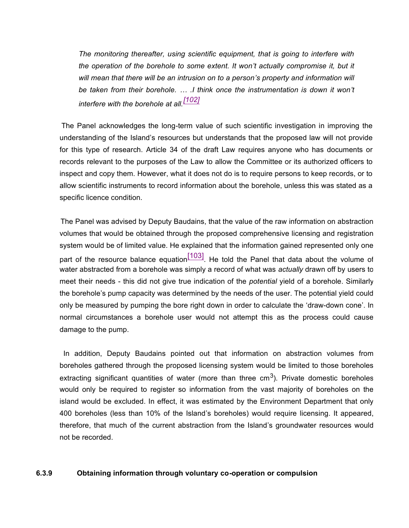*The monitoring thereafter, using scientific equipment, that is going to interfere with the operation of the borehole to some extent. It won't actually compromise it, but it will mean that there will be an intrusion on to a person's property and information will be taken from their borehole. … .I think once the instrumentation is down it won't interfere with the borehole at all.[102]*

 The Panel acknowledges the long-term value of such scientific investigation in improving the understanding of the Island's resources but understands that the proposed law will not provide for this type of research. Article 34 of the draft Law requires anyone who has documents or records relevant to the purposes of the Law to allow the Committee or its authorized officers to inspect and copy them. However, what it does not do is to require persons to keep records, or to allow scientific instruments to record information about the borehole, unless this was stated as a specific licence condition.

 The Panel was advised by Deputy Baudains, that the value of the raw information on abstraction volumes that would be obtained through the proposed comprehensive licensing and registration system would be of limited value. He explained that the information gained represented only one part of the resource balance equation  $\frac{[103]}{[103]}$ . He told the Panel that data about the volume of water abstracted from a borehole was simply a record of what was *actually* drawn off by users to meet their needs - this did not give true indication of the *potential* yield of a borehole. Similarly the borehole's pump capacity was determined by the needs of the user. The potential yield could only be measured by pumping the bore right down in order to calculate the 'draw-down cone'. In normal circumstances a borehole user would not attempt this as the process could cause damage to the pump.

 In addition, Deputy Baudains pointed out that information on abstraction volumes from boreholes gathered through the proposed licensing system would be limited to those boreholes extracting significant quantities of water (more than three cm<sup>3</sup>). Private domestic boreholes would only be required to register so information from the vast majority of boreholes on the island would be excluded. In effect, it was estimated by the Environment Department that only 400 boreholes (less than 10% of the Island's boreholes) would require licensing. It appeared, therefore, that much of the current abstraction from the Island's groundwater resources would not be recorded.

### **6.3.9 Obtaining information through voluntary co-operation or compulsion**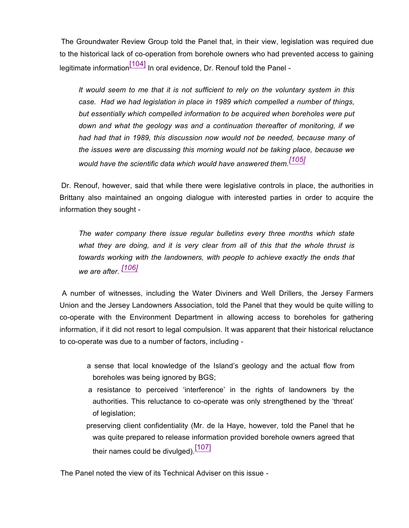The Groundwater Review Group told the Panel that, in their view, legislation was required due to the historical lack of co-operation from borehole owners who had prevented access to gaining legitimate information $\left[\frac{104}{104}\right]$  In oral evidence, Dr. Renouf told the Panel -

*It would seem to me that it is not sufficient to rely on the voluntary system in this case. Had we had legislation in place in 1989 which compelled a number of things, but essentially which compelled information to be acquired when boreholes were put down and what the geology was and a continuation thereafter of monitoring, if we had had that in 1989, this discussion now would not be needed, because many of the issues were are discussing this morning would not be taking place, because we would have the scientific data which would have answered them.[105]*

 Dr. Renouf, however, said that while there were legislative controls in place, the authorities in Brittany also maintained an ongoing dialogue with interested parties in order to acquire the information they sought -

*The water company there issue regular bulletins every three months which state what they are doing, and it is very clear from all of this that the whole thrust is towards working with the landowners, with people to achieve exactly the ends that we are after. [106]*

 A number of witnesses, including the Water Diviners and Well Drillers, the Jersey Farmers Union and the Jersey Landowners Association, told the Panel that they would be quite willing to co-operate with the Environment Department in allowing access to boreholes for gathering information, if it did not resort to legal compulsion. It was apparent that their historical reluctance to co-operate was due to a number of factors, including -

- a sense that local knowledge of the Island's geology and the actual flow from boreholes was being ignored by BGS;
- a resistance to perceived 'interference' in the rights of landowners by the authorities. This reluctance to co-operate was only strengthened by the 'threat' of legislation;
- preserving client confidentiality (Mr. de la Haye, however, told the Panel that he was quite prepared to release information provided borehole owners agreed that their names could be divulged).  $[107]$

The Panel noted the view of its Technical Adviser on this issue -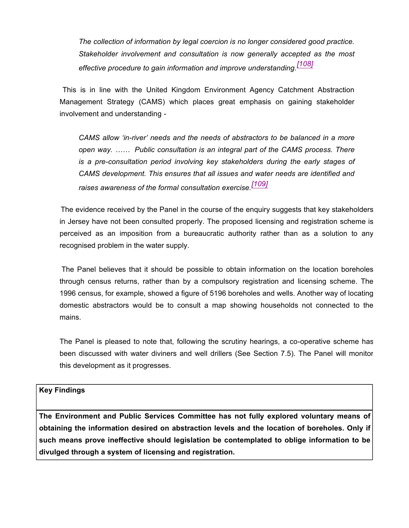*The collection of information by legal coercion is no longer considered good practice. Stakeholder involvement and consultation is now generally accepted as the most effective procedure to gain information and improve understanding.[108]*

 This is in line with the United Kingdom Environment Agency Catchment Abstraction Management Strategy (CAMS) which places great emphasis on gaining stakeholder involvement and understanding -

*CAMS allow 'in-river' needs and the needs of abstractors to be balanced in a more open way. …… Public consultation is an integral part of the CAMS process. There is a pre-consultation period involving key stakeholders during the early stages of CAMS development. This ensures that all issues and water needs are identified and raises awareness of the formal consultation exercise.[109]*

 The evidence received by the Panel in the course of the enquiry suggests that key stakeholders in Jersey have not been consulted properly. The proposed licensing and registration scheme is perceived as an imposition from a bureaucratic authority rather than as a solution to any recognised problem in the water supply.

 The Panel believes that it should be possible to obtain information on the location boreholes through census returns, rather than by a compulsory registration and licensing scheme. The 1996 census, for example, showed a figure of 5196 boreholes and wells. Another way of locating domestic abstractors would be to consult a map showing households not connected to the mains.

The Panel is pleased to note that, following the scrutiny hearings, a co-operative scheme has been discussed with water diviners and well drillers (See Section 7.5). The Panel will monitor this development as it progresses.

## **Key Findings**

**The Environment and Public Services Committee has not fully explored voluntary means of obtaining the information desired on abstraction levels and the location of boreholes. Only if such means prove ineffective should legislation be contemplated to oblige information to be divulged through a system of licensing and registration.**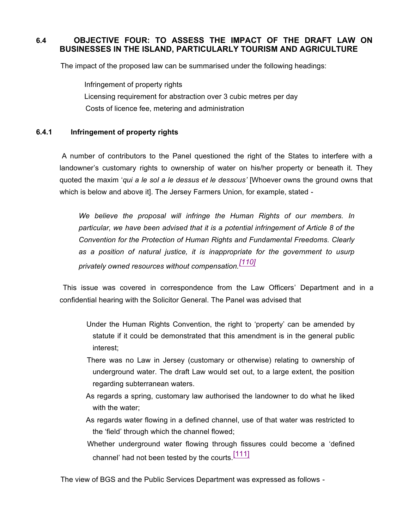# **6.4 OBJECTIVE FOUR: TO ASSESS THE IMPACT OF THE DRAFT LAW ON BUSINESSES IN THE ISLAND, PARTICULARLY TOURISM AND AGRICULTURE**

The impact of the proposed law can be summarised under the following headings:

Infringement of property rights Licensing requirement for abstraction over 3 cubic metres per day Costs of licence fee, metering and administration

## **6.4.1 Infringement of property rights**

 A number of contributors to the Panel questioned the right of the States to interfere with a landowner's customary rights to ownership of water on his/her property or beneath it. They quoted the maxim '*qui a le sol a le dessus et le dessous'* [Whoever owns the ground owns that which is below and above it]. The Jersey Farmers Union, for example, stated -

*We believe the proposal will infringe the Human Rights of our members. In particular, we have been advised that it is a potential infringement of Article 8 of the Convention for the Protection of Human Rights and Fundamental Freedoms. Clearly as a position of natural justice, it is inappropriate for the government to usurp privately owned resources without compensation.[110]*

 This issue was covered in correspondence from the Law Officers' Department and in a confidential hearing with the Solicitor General. The Panel was advised that

- Under the Human Rights Convention, the right to 'property' can be amended by statute if it could be demonstrated that this amendment is in the general public interest;
- There was no Law in Jersey (customary or otherwise) relating to ownership of underground water. The draft Law would set out, to a large extent, the position regarding subterranean waters.
- As regards a spring, customary law authorised the landowner to do what he liked with the water;
- As regards water flowing in a defined channel, use of that water was restricted to the 'field' through which the channel flowed;
- Whether underground water flowing through fissures could become a 'defined channel' had not been tested by the courts.  $[111]$

The view of BGS and the Public Services Department was expressed as follows -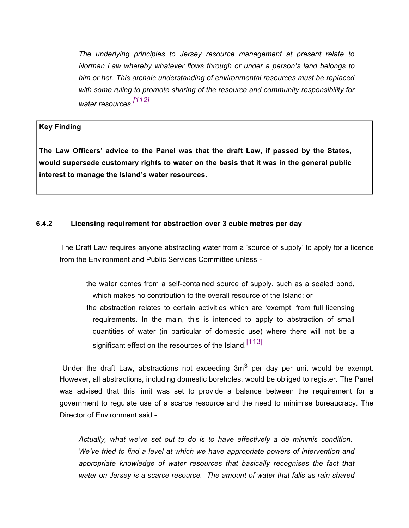*The underlying principles to Jersey resource management at present relate to Norman Law whereby whatever flows through or under a person's land belongs to him or her. This archaic understanding of environmental resources must be replaced with some ruling to promote sharing of the resource and community responsibility for water resources.[112]*

### **Key Finding**

**The Law Officers' advice to the Panel was that the draft Law, if passed by the States, would supersede customary rights to water on the basis that it was in the general public interest to manage the Island's water resources.**

### **6.4.2 Licensing requirement for abstraction over 3 cubic metres per day**

 The Draft Law requires anyone abstracting water from a 'source of supply' to apply for a licence from the Environment and Public Services Committee unless -

 the water comes from a self-contained source of supply, such as a sealed pond, which makes no contribution to the overall resource of the Island; or the abstraction relates to certain activities which are 'exempt' from full licensing requirements. In the main, this is intended to apply to abstraction of small quantities of water (in particular of domestic use) where there will not be a significant effect on the resources of the Island.<sup>[113]</sup>

Under the draft Law, abstractions not exceeding  $3m<sup>3</sup>$  per day per unit would be exempt. However, all abstractions, including domestic boreholes, would be obliged to register. The Panel was advised that this limit was set to provide a balance between the requirement for a government to regulate use of a scarce resource and the need to minimise bureaucracy. The Director of Environment said -

> *Actually, what we've set out to do is to have effectively a de minimis condition. We've tried to find a level at which we have appropriate powers of intervention and appropriate knowledge of water resources that basically recognises the fact that water on Jersey is a scarce resource. The amount of water that falls as rain shared*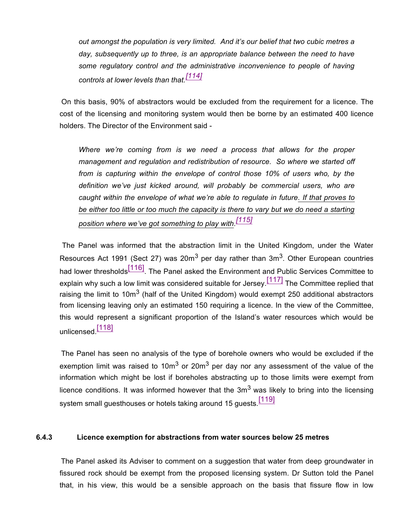*out amongst the population is very limited. And it's our belief that two cubic metres a day, subsequently up to three, is an appropriate balance between the need to have some regulatory control and the administrative inconvenience to people of having controls at lower levels than that.[114]*

 On this basis, 90% of abstractors would be excluded from the requirement for a licence. The cost of the licensing and monitoring system would then be borne by an estimated 400 licence holders. The Director of the Environment said -

*Where we're coming from is we need a process that allows for the proper management and regulation and redistribution of resource. So where we started off from is capturing within the envelope of control those 10% of users who, by the definition we've just kicked around, will probably be commercial users, who are caught within the envelope of what we're able to regulate in future. If that proves to be either too little or too much the capacity is there to vary but we do need a starting position where we've got something to play with. [115]*

 The Panel was informed that the abstraction limit in the United Kingdom, under the Water Resources Act 1991 (Sect 27) was 20m<sup>3</sup> per day rather than 3m<sup>3</sup>. Other European countries had lower thresholds<sup>[116]</sup>. The Panel asked the Environment and Public Services Committee to explain why such a low limit was considered suitable for Jersey.<sup>[117]</sup> The Committee replied that raising the limit to 10m<sup>3</sup> (half of the United Kingdom) would exempt 250 additional abstractors from licensing leaving only an estimated 150 requiring a licence. In the view of the Committee, this would represent a significant proportion of the Island's water resources which would be unlicensed.<sup>[118]</sup>

 The Panel has seen no analysis of the type of borehole owners who would be excluded if the exemption limit was raised to 10m<sup>3</sup> or 20m<sup>3</sup> per day nor any assessment of the value of the information which might be lost if boreholes abstracting up to those limits were exempt from licence conditions. It was informed however that the  $3m<sup>3</sup>$  was likely to bring into the licensing system small guesthouses or hotels taking around 15 guests.<sup>[119]</sup>

### **6.4.3 Licence exemption for abstractions from water sources below 25 metres**

 The Panel asked its Adviser to comment on a suggestion that water from deep groundwater in fissured rock should be exempt from the proposed licensing system. Dr Sutton told the Panel that, in his view, this would be a sensible approach on the basis that fissure flow in low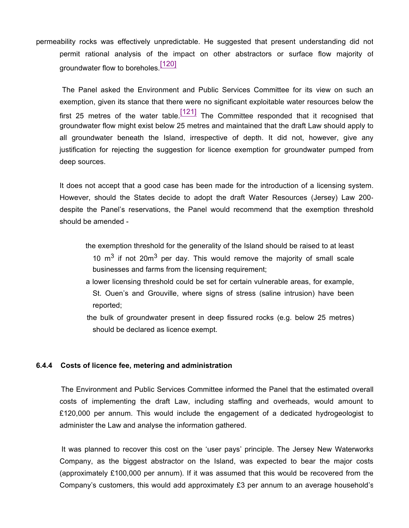permeability rocks was effectively unpredictable. He suggested that present understanding did not permit rational analysis of the impact on other abstractors or surface flow majority of groundwater flow to boreholes.<sup>[120]</sup>

 The Panel asked the Environment and Public Services Committee for its view on such an exemption, given its stance that there were no significant exploitable water resources below the first 25 metres of the water table.  $\frac{[121]}{[121]}$  The Committee responded that it recognised that groundwater flow might exist below 25 metres and maintained that the draft Law should apply to all groundwater beneath the Island, irrespective of depth. It did not, however, give any justification for rejecting the suggestion for licence exemption for groundwater pumped from deep sources.

It does not accept that a good case has been made for the introduction of a licensing system. However, should the States decide to adopt the draft Water Resources (Jersey) Law 200 despite the Panel's reservations, the Panel would recommend that the exemption threshold should be amended -

- the exemption threshold for the generality of the Island should be raised to at least 10  $\mathrm{m}^3$  if not 20 $\mathrm{m}^3$  per day. This would remove the majority of small scale businesses and farms from the licensing requirement;
- a lower licensing threshold could be set for certain vulnerable areas, for example, St. Ouen's and Grouville, where signs of stress (saline intrusion) have been reported;
- the bulk of groundwater present in deep fissured rocks (e.g. below 25 metres) should be declared as licence exempt.

### **6.4.4 Costs of licence fee, metering and administration**

 The Environment and Public Services Committee informed the Panel that the estimated overall costs of implementing the draft Law, including staffing and overheads, would amount to £120,000 per annum. This would include the engagement of a dedicated hydrogeologist to administer the Law and analyse the information gathered.

 It was planned to recover this cost on the 'user pays' principle. The Jersey New Waterworks Company, as the biggest abstractor on the Island, was expected to bear the major costs (approximately £100,000 per annum). If it was assumed that this would be recovered from the Company's customers, this would add approximately £3 per annum to an average household's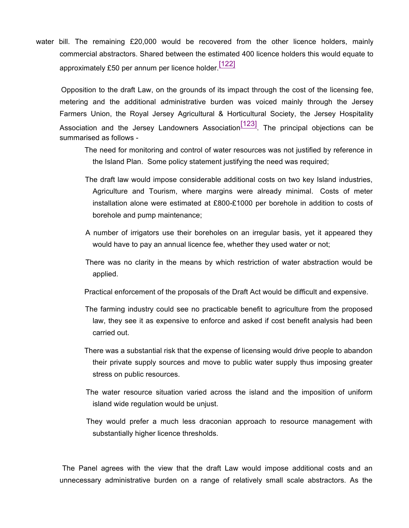water bill. The remaining £20,000 would be recovered from the other licence holders, mainly commercial abstractors. Shared between the estimated 400 licence holders this would equate to approximately £50 per annum per licence holder.<sup>[122]</sup>

 Opposition to the draft Law, on the grounds of its impact through the cost of the licensing fee, metering and the additional administrative burden was voiced mainly through the Jersey Farmers Union, the Royal Jersey Agricultural & Horticultural Society, the Jersey Hospitality Association and the Jersey Landowners Association $\frac{123}{123}$ . The principal objections can be summarised as follows -

- The need for monitoring and control of water resources was not justified by reference in the Island Plan. Some policy statement justifying the need was required;
- The draft law would impose considerable additional costs on two key Island industries, Agriculture and Tourism, where margins were already minimal. Costs of meter installation alone were estimated at £800-£1000 per borehole in addition to costs of borehole and pump maintenance;
- A number of irrigators use their boreholes on an irregular basis, yet it appeared they would have to pay an annual licence fee, whether they used water or not;
- There was no clarity in the means by which restriction of water abstraction would be applied.
- Practical enforcement of the proposals of the Draft Act would be difficult and expensive.
- The farming industry could see no practicable benefit to agriculture from the proposed law, they see it as expensive to enforce and asked if cost benefit analysis had been carried out.
- There was a substantial risk that the expense of licensing would drive people to abandon their private supply sources and move to public water supply thus imposing greater stress on public resources.
- The water resource situation varied across the island and the imposition of uniform island wide regulation would be unjust.
- They would prefer a much less draconian approach to resource management with substantially higher licence thresholds.

 The Panel agrees with the view that the draft Law would impose additional costs and an unnecessary administrative burden on a range of relatively small scale abstractors. As the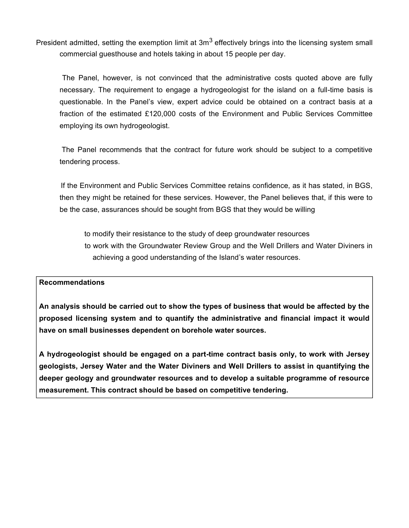President admitted, setting the exemption limit at  $3m<sup>3</sup>$  effectively brings into the licensing system small commercial guesthouse and hotels taking in about 15 people per day.

 The Panel, however, is not convinced that the administrative costs quoted above are fully necessary. The requirement to engage a hydrogeologist for the island on a full-time basis is questionable. In the Panel's view, expert advice could be obtained on a contract basis at a fraction of the estimated £120,000 costs of the Environment and Public Services Committee employing its own hydrogeologist.

 The Panel recommends that the contract for future work should be subject to a competitive tendering process.

 If the Environment and Public Services Committee retains confidence, as it has stated, in BGS, then they might be retained for these services. However, the Panel believes that, if this were to be the case, assurances should be sought from BGS that they would be willing

to modify their resistance to the study of deep groundwater resources to work with the Groundwater Review Group and the Well Drillers and Water Diviners in achieving a good understanding of the Island's water resources.

### **Recommendations**

**An analysis should be carried out to show the types of business that would be affected by the proposed licensing system and to quantify the administrative and financial impact it would have on small businesses dependent on borehole water sources.**

**A hydrogeologist should be engaged on a part-time contract basis only, to work with Jersey geologists, Jersey Water and the Water Diviners and Well Drillers to assist in quantifying the deeper geology and groundwater resources and to develop a suitable programme of resource measurement. This contract should be based on competitive tendering.**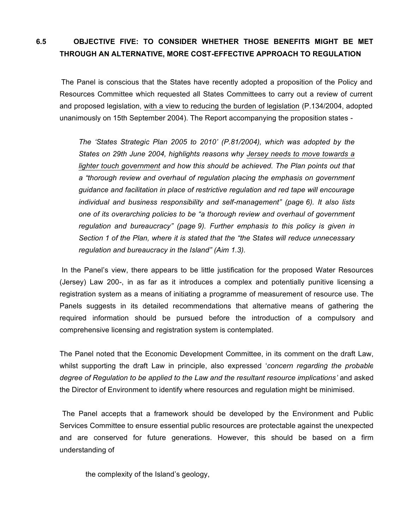# **6.5 OBJECTIVE FIVE: TO CONSIDER WHETHER THOSE BENEFITS MIGHT BE MET THROUGH AN ALTERNATIVE, MORE COST-EFFECTIVE APPROACH TO REGULATION**

 The Panel is conscious that the States have recently adopted a proposition of the Policy and Resources Committee which requested all States Committees to carry out a review of current and proposed legislation, with a view to reducing the burden of legislation (P.134/2004, adopted unanimously on 15th September 2004). The Report accompanying the proposition states -

*The 'States Strategic Plan 2005 to 2010' (P.81/2004), which was adopted by the States on 29th June 2004, highlights reasons why Jersey needs to move towards a lighter touch government and how this should be achieved. The Plan points out that a "thorough review and overhaul of regulation placing the emphasis on government guidance and facilitation in place of restrictive regulation and red tape will encourage individual and business responsibility and self-management" (page 6). It also lists one of its overarching policies to be "a thorough review and overhaul of government regulation and bureaucracy" (page 9). Further emphasis to this policy is given in Section 1 of the Plan, where it is stated that the "the States will reduce unnecessary regulation and bureaucracy in the Island" (Aim 1.3).*

 In the Panel's view, there appears to be little justification for the proposed Water Resources (Jersey) Law 200-, in as far as it introduces a complex and potentially punitive licensing a registration system as a means of initiating a programme of measurement of resource use. The Panels suggests in its detailed recommendations that alternative means of gathering the required information should be pursued before the introduction of a compulsory and comprehensive licensing and registration system is contemplated.

The Panel noted that the Economic Development Committee, in its comment on the draft Law, whilst supporting the draft Law in principle, also expressed '*concern regarding the probable degree of Regulation to be applied to the Law and the resultant resource implications'* and asked the Director of Environment to identify where resources and regulation might be minimised.

 The Panel accepts that a framework should be developed by the Environment and Public Services Committee to ensure essential public resources are protectable against the unexpected and are conserved for future generations. However, this should be based on a firm understanding of

the complexity of the Island's geology,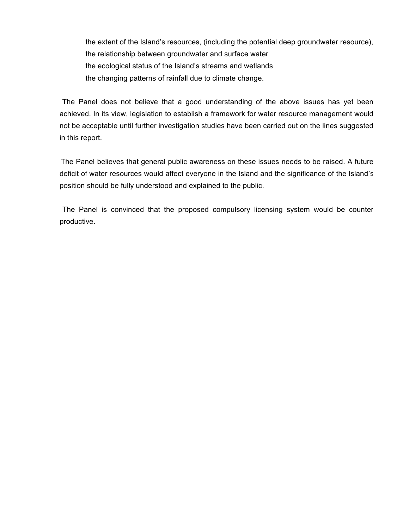the extent of the Island's resources, (including the potential deep groundwater resource), the relationship between groundwater and surface water the ecological status of the Island's streams and wetlands the changing patterns of rainfall due to climate change.

 The Panel does not believe that a good understanding of the above issues has yet been achieved. In its view, legislation to establish a framework for water resource management would not be acceptable until further investigation studies have been carried out on the lines suggested in this report.

 The Panel believes that general public awareness on these issues needs to be raised. A future deficit of water resources would affect everyone in the Island and the significance of the Island's position should be fully understood and explained to the public.

 The Panel is convinced that the proposed compulsory licensing system would be counter productive.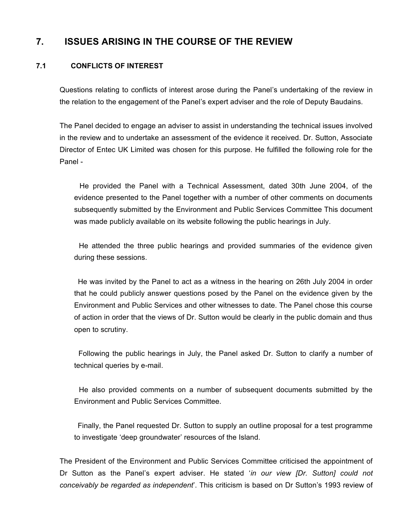# **7. ISSUES ARISING IN THE COURSE OF THE REVIEW**

# **7.1 CONFLICTS OF INTEREST**

Questions relating to conflicts of interest arose during the Panel's undertaking of the review in the relation to the engagement of the Panel's expert adviser and the role of Deputy Baudains.

The Panel decided to engage an adviser to assist in understanding the technical issues involved in the review and to undertake an assessment of the evidence it received. Dr. Sutton, Associate Director of Entec UK Limited was chosen for this purpose. He fulfilled the following role for the Panel -

 He provided the Panel with a Technical Assessment, dated 30th June 2004, of the evidence presented to the Panel together with a number of other comments on documents subsequently submitted by the Environment and Public Services Committee This document was made publicly available on its website following the public hearings in July.

 He attended the three public hearings and provided summaries of the evidence given during these sessions.

 He was invited by the Panel to act as a witness in the hearing on 26th July 2004 in order that he could publicly answer questions posed by the Panel on the evidence given by the Environment and Public Services and other witnesses to date. The Panel chose this course of action in order that the views of Dr. Sutton would be clearly in the public domain and thus open to scrutiny.

 Following the public hearings in July, the Panel asked Dr. Sutton to clarify a number of technical queries by e-mail.

 He also provided comments on a number of subsequent documents submitted by the Environment and Public Services Committee.

 Finally, the Panel requested Dr. Sutton to supply an outline proposal for a test programme to investigate 'deep groundwater' resources of the Island.

The President of the Environment and Public Services Committee criticised the appointment of Dr Sutton as the Panel's expert adviser. He stated '*in our view [Dr. Sutton] could not conceivably be regarded as independent*'. This criticism is based on Dr Sutton's 1993 review of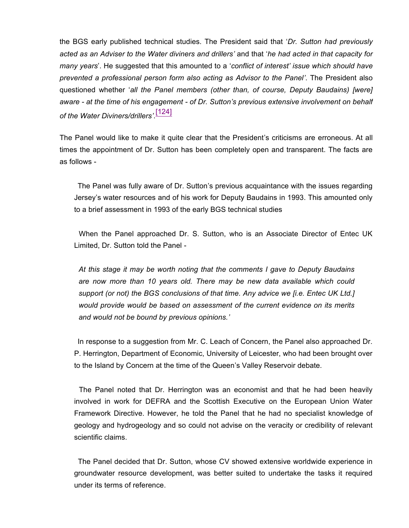the BGS early published technical studies. The President said that '*Dr. Sutton had previously acted as an Adviser to the Water diviners and drillers'* and that '*he had acted in that capacity for many years*'. He suggested that this amounted to a '*conflict of interest' issue which should have prevented a professional person form also acting as Advisor to the Panel'*. The President also questioned whether '*all the Panel members (other than, of course, Deputy Baudains) [were] aware - at the time of his engagement - of Dr. Sutton's previous extensive involvement on behalf of the Water Diviners/drillers'*. [124]

The Panel would like to make it quite clear that the President's criticisms are erroneous. At all times the appointment of Dr. Sutton has been completely open and transparent. The facts are as follows -

 The Panel was fully aware of Dr. Sutton's previous acquaintance with the issues regarding Jersey's water resources and of his work for Deputy Baudains in 1993. This amounted only to a brief assessment in 1993 of the early BGS technical studies

 When the Panel approached Dr. S. Sutton, who is an Associate Director of Entec UK Limited, Dr. Sutton told the Panel -

*At this stage it may be worth noting that the comments I gave to Deputy Baudains are now more than 10 years old. There may be new data available which could support (or not) the BGS conclusions of that time. Any advice we [i.e. Entec UK Ltd.] would provide would be based on assessment of the current evidence on its merits and would not be bound by previous opinions.'*

 In response to a suggestion from Mr. C. Leach of Concern, the Panel also approached Dr. P. Herrington, Department of Economic, University of Leicester, who had been brought over to the Island by Concern at the time of the Queen's Valley Reservoir debate.

 The Panel noted that Dr. Herrington was an economist and that he had been heavily involved in work for DEFRA and the Scottish Executive on the European Union Water Framework Directive. However, he told the Panel that he had no specialist knowledge of geology and hydrogeology and so could not advise on the veracity or credibility of relevant scientific claims.

 The Panel decided that Dr. Sutton, whose CV showed extensive worldwide experience in groundwater resource development, was better suited to undertake the tasks it required under its terms of reference.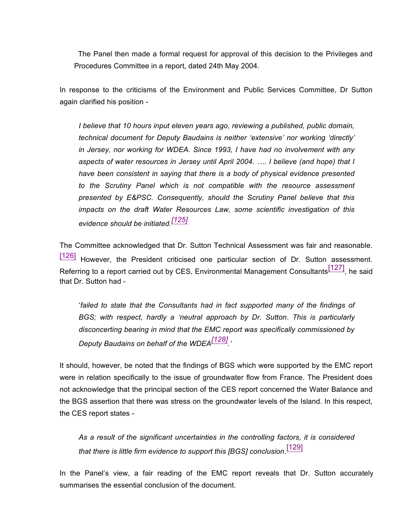The Panel then made a formal request for approval of this decision to the Privileges and Procedures Committee in a report, dated 24th May 2004.

In response to the criticisms of the Environment and Public Services Committee, Dr Sutton again clarified his position -

*I believe that 10 hours input eleven years ago, reviewing a published, public domain, technical document for Deputy Baudains is neither 'extensive' nor working 'directly' in Jersey, nor working for WDEA. Since 1993, I have had no involvement with any aspects of water resources in Jersey until April 2004. …. I believe (and hope) that I have been consistent in saying that there is a body of physical evidence presented to the Scrutiny Panel which is not compatible with the resource assessment presented by E&PSC. Consequently, should the Scrutiny Panel believe that this impacts on the draft Water Resources Law, some scientific investigation of this evidence should be initiated.[125]*

The Committee acknowledged that Dr. Sutton Technical Assessment was fair and reasonable. [126] However, the President criticised one particular section of Dr. Sutton assessment. Referring to a report carried out by CES, Environmental Management Consultants [127], he said that Dr. Sutton had -

'*failed to state that the Consultants had in fact supported many of the findings of BGS; with respect, hardly a 'neutral approach by Dr. Sutton*. *This is particularly disconcerting bearing in mind that the EMC report was specifically commissioned by Deputy Baudains on behalf of the WDEA[128] .'*

It should, however, be noted that the findings of BGS which were supported by the EMC report were in relation specifically to the issue of groundwater flow from France. The President does not acknowledge that the principal section of the CES report concerned the Water Balance and the BGS assertion that there was stress on the groundwater levels of the Island. In this respect, the CES report states -

*As a result of the significant uncertainties in the controlling factors, it is considered that there is little firm evidence to support this [BGS] conclusion*. [129]

In the Panel's view, a fair reading of the EMC report reveals that Dr. Sutton accurately summarises the essential conclusion of the document.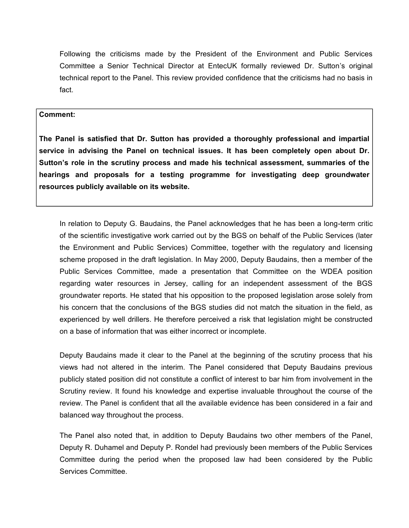Following the criticisms made by the President of the Environment and Public Services Committee a Senior Technical Director at EntecUK formally reviewed Dr. Sutton's original technical report to the Panel. This review provided confidence that the criticisms had no basis in fact.

### **Comment:**

**The Panel is satisfied that Dr. Sutton has provided a thoroughly professional and impartial service in advising the Panel on technical issues. It has been completely open about Dr. Sutton's role in the scrutiny process and made his technical assessment, summaries of the hearings and proposals for a testing programme for investigating deep groundwater resources publicly available on its website.**

In relation to Deputy G. Baudains, the Panel acknowledges that he has been a long-term critic of the scientific investigative work carried out by the BGS on behalf of the Public Services (later the Environment and Public Services) Committee, together with the regulatory and licensing scheme proposed in the draft legislation. In May 2000, Deputy Baudains, then a member of the Public Services Committee, made a presentation that Committee on the WDEA position regarding water resources in Jersey, calling for an independent assessment of the BGS groundwater reports. He stated that his opposition to the proposed legislation arose solely from his concern that the conclusions of the BGS studies did not match the situation in the field, as experienced by well drillers. He therefore perceived a risk that legislation might be constructed on a base of information that was either incorrect or incomplete.

Deputy Baudains made it clear to the Panel at the beginning of the scrutiny process that his views had not altered in the interim. The Panel considered that Deputy Baudains previous publicly stated position did not constitute a conflict of interest to bar him from involvement in the Scrutiny review. It found his knowledge and expertise invaluable throughout the course of the review. The Panel is confident that all the available evidence has been considered in a fair and balanced way throughout the process.

The Panel also noted that, in addition to Deputy Baudains two other members of the Panel, Deputy R. Duhamel and Deputy P. Rondel had previously been members of the Public Services Committee during the period when the proposed law had been considered by the Public Services Committee.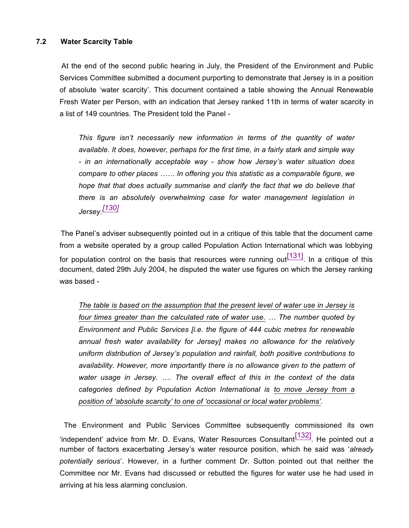### **7.2 Water Scarcity Table**

 At the end of the second public hearing in July, the President of the Environment and Public Services Committee submitted a document purporting to demonstrate that Jersey is in a position of absolute 'water scarcity'. This document contained a table showing the Annual Renewable Fresh Water per Person, with an indication that Jersey ranked 11th in terms of water scarcity in a list of 149 countries. The President told the Panel -

*This figure isn't necessarily new information in terms of the quantity of water available. It does, however, perhaps for the first time, in a fairly stark and simple way - in an internationally acceptable way - show how Jersey's water situation does compare to other places …… In offering you this statistic as a comparable figure, we hope that that does actually summarise and clarify the fact that we do believe that there is an absolutely overwhelming case for water management legislation in Jersey.[130]*

 The Panel's adviser subsequently pointed out in a critique of this table that the document came from a website operated by a group called Population Action International which was lobbying for population control on the basis that resources were running out  $\frac{[131]}{]}$ . In a critique of this document, dated 29th July 2004, he disputed the water use figures on which the Jersey ranking was based -

*The table is based on the assumption that the present level of water use in Jersey is four times greater than the calculated rate of water use. … The number quoted by Environment and Public Services [i.e. the figure of 444 cubic metres for renewable annual fresh water availability for Jersey] makes no allowance for the relatively uniform distribution of Jersey's population and rainfall, both positive contributions to availability. However, more importantly there is no allowance given to the pattern of water usage in Jersey. …. The overall effect of this in the context of the data categories defined by Population Action International is to move Jersey from a position of 'absolute scarcity' to one of 'occasional or local water problems'.*

 The Environment and Public Services Committee subsequently commissioned its own 'independent' advice from Mr. D. Evans, Water Resources Consultant $\frac{[132]}{[132]}$ . He pointed out a number of factors exacerbating Jersey's water resource position, which he said was '*already potentially serious*'. However, in a further comment Dr. Sutton pointed out that neither the Committee nor Mr. Evans had discussed or rebutted the figures for water use he had used in arriving at his less alarming conclusion.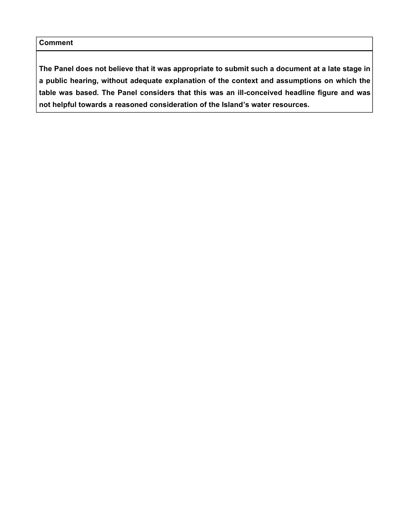**The Panel does not believe that it was appropriate to submit such a document at a late stage in a public hearing, without adequate explanation of the context and assumptions on which the table was based. The Panel considers that this was an ill-conceived headline figure and was not helpful towards a reasoned consideration of the Island's water resources.**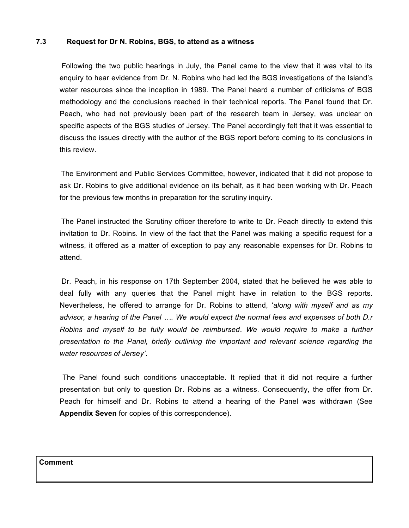### **7.3 Request for Dr N. Robins, BGS, to attend as a witness**

 Following the two public hearings in July, the Panel came to the view that it was vital to its enquiry to hear evidence from Dr. N. Robins who had led the BGS investigations of the Island's water resources since the inception in 1989. The Panel heard a number of criticisms of BGS methodology and the conclusions reached in their technical reports. The Panel found that Dr. Peach, who had not previously been part of the research team in Jersey, was unclear on specific aspects of the BGS studies of Jersey. The Panel accordingly felt that it was essential to discuss the issues directly with the author of the BGS report before coming to its conclusions in this review.

 The Environment and Public Services Committee, however, indicated that it did not propose to ask Dr. Robins to give additional evidence on its behalf, as it had been working with Dr. Peach for the previous few months in preparation for the scrutiny inquiry.

 The Panel instructed the Scrutiny officer therefore to write to Dr. Peach directly to extend this invitation to Dr. Robins. In view of the fact that the Panel was making a specific request for a witness, it offered as a matter of exception to pay any reasonable expenses for Dr. Robins to attend.

 Dr. Peach, in his response on 17th September 2004, stated that he believed he was able to deal fully with any queries that the Panel might have in relation to the BGS reports. Nevertheless, he offered to arrange for Dr. Robins to attend, '*along with myself and as my advisor, a hearing of the Panel …. We would expect the normal fees and expenses of both D.r Robins and myself to be fully would be reimbursed*. *We would require to make a further presentation to the Panel, briefly outlining the important and relevant science regarding the water resources of Jersey'*.

 The Panel found such conditions unacceptable. It replied that it did not require a further presentation but only to question Dr. Robins as a witness. Consequently, the offer from Dr. Peach for himself and Dr. Robins to attend a hearing of the Panel was withdrawn (See **Appendix Seven** for copies of this correspondence).

# **Comment**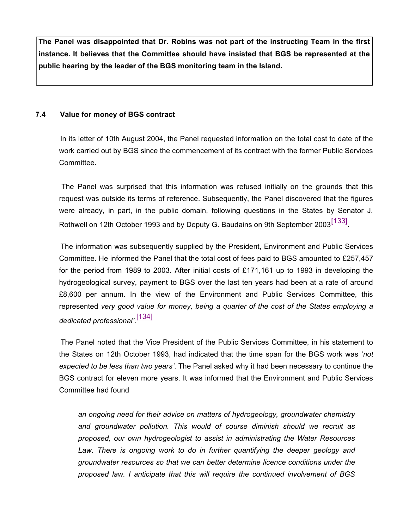**The Panel was disappointed that Dr. Robins was not part of the instructing Team in the first instance. It believes that the Committee should have insisted that BGS be represented at the public hearing by the leader of the BGS monitoring team in the Island.**

### **7.4 Value for money of BGS contract**

 In its letter of 10th August 2004, the Panel requested information on the total cost to date of the work carried out by BGS since the commencement of its contract with the former Public Services Committee.

 The Panel was surprised that this information was refused initially on the grounds that this request was outside its terms of reference. Subsequently, the Panel discovered that the figures were already, in part, in the public domain, following questions in the States by Senator J. Rothwell on 12th October 1993 and by Deputy G. Baudains on 9th September 2003<sup>[133]</sup>

 The information was subsequently supplied by the President, Environment and Public Services Committee. He informed the Panel that the total cost of fees paid to BGS amounted to £257,457 for the period from 1989 to 2003. After initial costs of £171,161 up to 1993 in developing the hydrogeological survey, payment to BGS over the last ten years had been at a rate of around £8,600 per annum. In the view of the Environment and Public Services Committee, this represented *very good value for money, being a quarter of the cost of the States employing a dedicated professional'*. [134]

 The Panel noted that the Vice President of the Public Services Committee, in his statement to the States on 12th October 1993, had indicated that the time span for the BGS work was '*not expected to be less than two years'*. The Panel asked why it had been necessary to continue the BGS contract for eleven more years. It was informed that the Environment and Public Services Committee had found

*an ongoing need for their advice on matters of hydrogeology, groundwater chemistry and groundwater pollution. This would of course diminish should we recruit as proposed, our own hydrogeologist to assist in administrating the Water Resources Law. There is ongoing work to do in further quantifying the deeper geology and groundwater resources so that we can better determine licence conditions under the proposed law. I anticipate that this will require the continued involvement of BGS*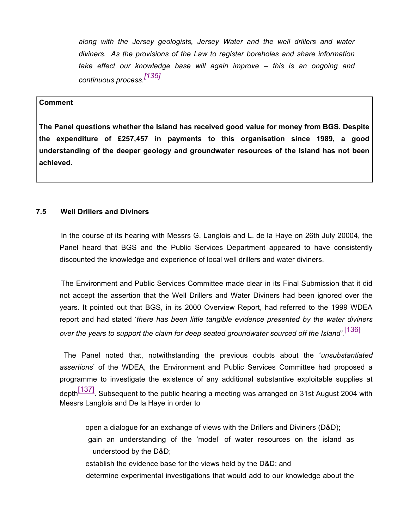*along with the Jersey geologists, Jersey Water and the well drillers and water diviners. As the provisions of the Law to register boreholes and share information take effect our knowledge base will again improve – this is an ongoing and continuous process.[135]*

### **Comment**

**The Panel questions whether the Island has received good value for money from BGS. Despite the expenditure of £257,457 in payments to this organisation since 1989, a good understanding of the deeper geology and groundwater resources of the Island has not been achieved.**

### **7.5 Well Drillers and Diviners**

 In the course of its hearing with Messrs G. Langlois and L. de la Haye on 26th July 20004, the Panel heard that BGS and the Public Services Department appeared to have consistently discounted the knowledge and experience of local well drillers and water diviners.

 The Environment and Public Services Committee made clear in its Final Submission that it did not accept the assertion that the Well Drillers and Water Diviners had been ignored over the years. It pointed out that BGS, in its 2000 Overview Report, had referred to the 1999 WDEA report and had stated '*there has been little tangible evidence presented by the water diviners over the years to support the claim for deep seated groundwater sourced off the Island'.* [136]

 The Panel noted that, notwithstanding the previous doubts about the '*unsubstantiated assertions*' of the WDEA, the Environment and Public Services Committee had proposed a programme to investigate the existence of any additional substantive exploitable supplies at depth $\frac{[137]}{[137]}$ . Subsequent to the public hearing a meeting was arranged on 31st August 2004 with Messrs Langlois and De la Haye in order to

 open a dialogue for an exchange of views with the Drillers and Diviners (D&D); gain an understanding of the 'model' of water resources on the island as understood by the D&D;

establish the evidence base for the views held by the D&D; and

determine experimental investigations that would add to our knowledge about the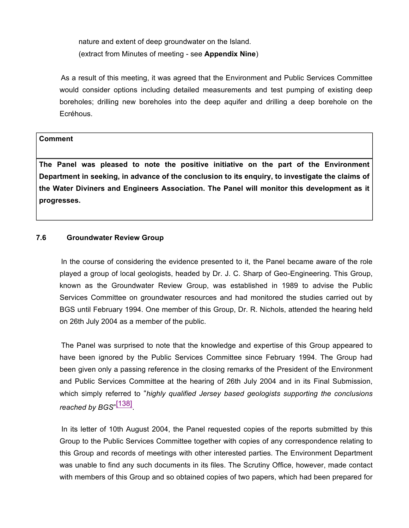nature and extent of deep groundwater on the Island. (extract from Minutes of meeting - see **Appendix Nine**)

 As a result of this meeting, it was agreed that the Environment and Public Services Committee would consider options including detailed measurements and test pumping of existing deep boreholes; drilling new boreholes into the deep aquifer and drilling a deep borehole on the Ecréhous.

### **Comment**

**The Panel was pleased to note the positive initiative on the part of the Environment Department in seeking, in advance of the conclusion to its enquiry, to investigate the claims of the Water Diviners and Engineers Association. The Panel will monitor this development as it progresses.**

### **7.6 Groundwater Review Group**

 In the course of considering the evidence presented to it, the Panel became aware of the role played a group of local geologists, headed by Dr. J. C. Sharp of Geo-Engineering. This Group, known as the Groundwater Review Group, was established in 1989 to advise the Public Services Committee on groundwater resources and had monitored the studies carried out by BGS until February 1994. One member of this Group, Dr. R. Nichols, attended the hearing held on 26th July 2004 as a member of the public.

 The Panel was surprised to note that the knowledge and expertise of this Group appeared to have been ignored by the Public Services Committee since February 1994. The Group had been given only a passing reference in the closing remarks of the President of the Environment and Public Services Committee at the hearing of 26th July 2004 and in its Final Submission, which simply referred to "*highly qualified Jersey based geologists supporting the conclusions reached by BGS*" [138] .

 In its letter of 10th August 2004, the Panel requested copies of the reports submitted by this Group to the Public Services Committee together with copies of any correspondence relating to this Group and records of meetings with other interested parties. The Environment Department was unable to find any such documents in its files. The Scrutiny Office, however, made contact with members of this Group and so obtained copies of two papers, which had been prepared for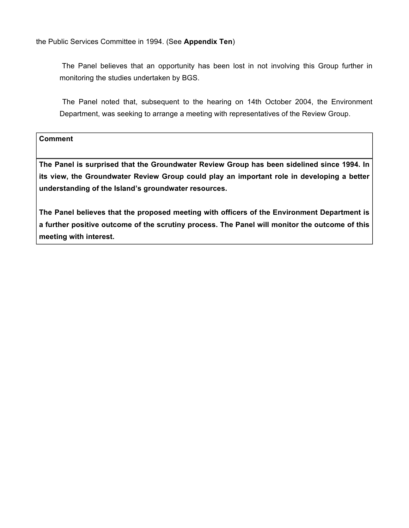the Public Services Committee in 1994. (See **Appendix Ten**)

 The Panel believes that an opportunity has been lost in not involving this Group further in monitoring the studies undertaken by BGS.

 The Panel noted that, subsequent to the hearing on 14th October 2004, the Environment Department, was seeking to arrange a meeting with representatives of the Review Group.

**Comment**

**The Panel is surprised that the Groundwater Review Group has been sidelined since 1994. In its view, the Groundwater Review Group could play an important role in developing a better understanding of the Island's groundwater resources.**

**The Panel believes that the proposed meeting with officers of the Environment Department is a further positive outcome of the scrutiny process. The Panel will monitor the outcome of this meeting with interest.**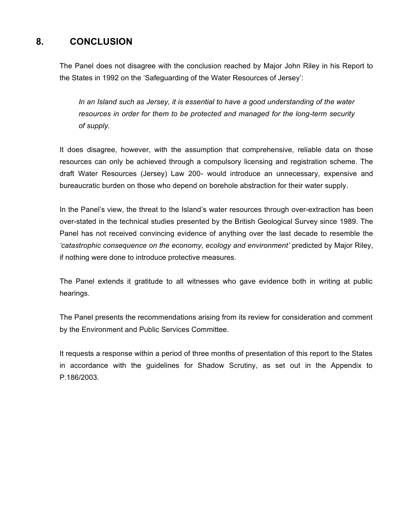# **8. CONCLUSION**

The Panel does not disagree with the conclusion reached by Major John Riley in his Report to the States in 1992 on the 'Safeguarding of the Water Resources of Jersey':

*In an Island such as Jersey, it is essential to have a good understanding of the water resources in order for them to be protected and managed for the long-term security of supply.*

It does disagree, however, with the assumption that comprehensive, reliable data on those resources can only be achieved through a compulsory licensing and registration scheme. The draft Water Resources (Jersey) Law 200- would introduce an unnecessary, expensive and bureaucratic burden on those who depend on borehole abstraction for their water supply.

In the Panel's view, the threat to the Island's water resources through over-extraction has been over-stated in the technical studies presented by the British Geological Survey since 1989. The Panel has not received convincing evidence of anything over the last decade to resemble the *'catastrophic consequence on the economy, ecology and environment'* predicted by Major Riley, if nothing were done to introduce protective measures.

The Panel extends it gratitude to all witnesses who gave evidence both in writing at public hearings.

The Panel presents the recommendations arising from its review for consideration and comment by the Environment and Public Services Committee.

It requests a response within a period of three months of presentation of this report to the States in accordance with the guidelines for Shadow Scrutiny, as set out in the Appendix to P.186/2003.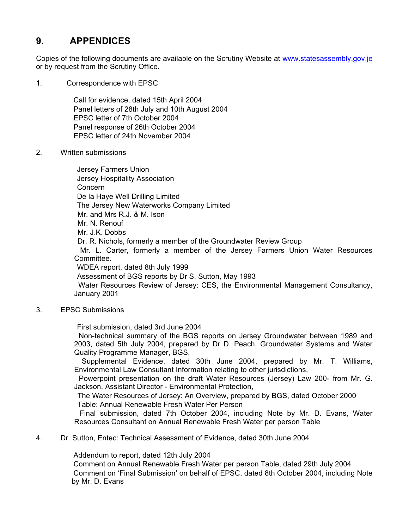# **9. APPENDICES**

Copies of the following documents are available on the Scrutiny Website at <www.statesassembly.gov.je> or by request from the Scrutiny Office.

1. Correspondence with EPSC

 Call for evidence, dated 15th April 2004 Panel letters of 28th July and 10th August 2004 EPSC letter of 7th October 2004 Panel response of 26th October 2004 EPSC letter of 24th November 2004

2. Written submissions

 Jersey Farmers Union Jersey Hospitality Association Concern De la Haye Well Drilling Limited The Jersey New Waterworks Company Limited Mr. and Mrs R.J. & M. Ison Mr. N. Renouf Mr. J.K. Dobbs Dr. R. Nichols, formerly a member of the Groundwater Review Group Mr. L. Carter, formerly a member of the Jersey Farmers Union Water Resources Committee. WDEA report, dated 8th July 1999 Assessment of BGS reports by Dr S. Sutton, May 1993 Water Resources Review of Jersey: CES, the Environmental Management Consultancy, January 2001

3. EPSC Submissions

First submission, dated 3rd June 2004

 Non-technical summary of the BGS reports on Jersey Groundwater between 1989 and 2003, dated 5th July 2004, prepared by Dr D. Peach, Groundwater Systems and Water Quality Programme Manager, BGS,

 Supplemental Evidence, dated 30th June 2004, prepared by Mr. T. Williams, Environmental Law Consultant Information relating to other jurisdictions,

 Powerpoint presentation on the draft Water Resources (Jersey) Law 200- from Mr. G. Jackson, Assistant Director - Environmental Protection,

 The Water Resources of Jersey: An Overview, prepared by BGS, dated October 2000 Table: Annual Renewable Fresh Water Per Person

 Final submission, dated 7th October 2004, including Note by Mr. D. Evans, Water Resources Consultant on Annual Renewable Fresh Water per person Table

4. Dr. Sutton, Entec: Technical Assessment of Evidence, dated 30th June 2004

Addendum to report, dated 12th July 2004

 Comment on Annual Renewable Fresh Water per person Table, dated 29th July 2004 Comment on 'Final Submission' on behalf of EPSC, dated 8th October 2004, including Note by Mr. D. Evans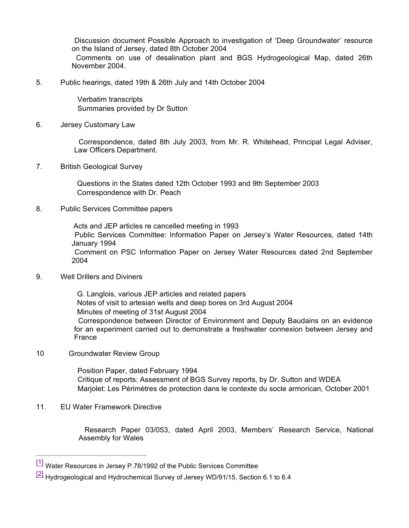Discussion document Possible Approach to investigation of 'Deep Groundwater' resource on the Island of Jersey, dated 8th October 2004 Comments on use of desalination plant and BGS Hydrogeological Map, dated 26th November 2004.

5. Public hearings, dated 19th & 26th July and 14th October 2004

 Verbatim transcripts Summaries provided by Dr Sutton

6. Jersey Customary Law

 Correspondence, dated 8th July 2003, from Mr. R. Whitehead, Principal Legal Adviser, Law Officers Department.

7. British Geological Survey

 Questions in the States dated 12th October 1993 and 9th September 2003 Correspondence with Dr. Peach

8. Public Services Committee papers

 Acts and JEP articles re cancelled meeting in 1993 Public Services Committee: Information Paper on Jersey's Water Resources, dated 14th January 1994 Comment on PSC Information Paper on Jersey Water Resources dated 2nd September 2004

9. Well Drillers and Diviners

 G. Langlois, various JEP articles and related papers Notes of visit to artesian wells and deep bores on 3rd August 2004 Minutes of meeting of 31st August 2004 Correspondence between Director of Environment and Deputy Baudains on an evidence for an experiment carried out to demonstrate a freshwater connexion between Jersey and France

10 Groundwater Review Group

 Position Paper, dated February 1994 Critique of reports: Assessment of BGS Survey reports, by Dr. Sutton and WDEA Marjolet: Les Périmètres de protection dans le contexte du socle armorican, October 2001

11. EU Water Framework Directive

 Research Paper 03/053, dated April 2003, Members' Research Service, National Assembly for Wales

<sup>[1]</sup> Water Resources in Jersey P.78/1992 of the Public Services Committee

<sup>&</sup>lt;sup>[2]</sup> Hydrogeological and Hydrochemical Survey of Jersey WD/91/15, Section 6.1 to 6.4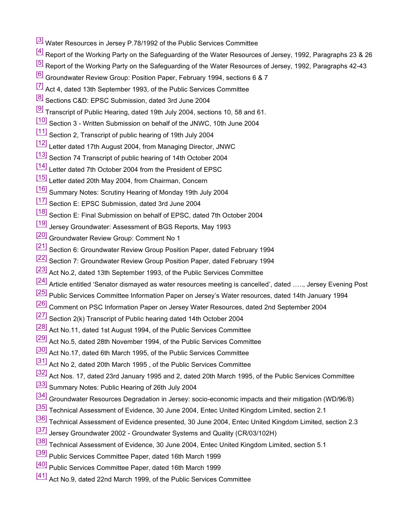- [3] Water Resources in Jersey P.78/1992 of the Public Services Committee
- <sup>[4]</sup> Report of the Working Party on the Safeguarding of the Water Resources of Jersey, 1992, Paragraphs 23 & 26
- [5] Report of the Working Party on the Safeguarding of the Water Resources of Jersey, 1992, Paragraphs 42-43
- <sup>[6]</sup> Groundwater Review Group: Position Paper, February 1994, sections 6 & 7
- $\frac{7}{1}$  Act 4, dated 13th September 1993, of the Public Services Committee
- <sup>[8]</sup> Sections C&D: EPSC Submission, dated 3rd June 2004
- $\frac{[9]}{[9]}$  Transcript of Public Hearing, dated 19th July 2004, sections 10, 58 and 61.
- [10] Section 3 Written Submission on behalf of the JNWC, 10th June 2004
- [11] Section 2, Transcript of public hearing of 19th July 2004
- [12] Letter dated 17th August 2004, from Managing Director, JNWC
- [13] Section 74 Transcript of public hearing of 14th October 2004
- [14] Letter dated 7th October 2004 from the President of EPSC
- [15] Letter dated 20th May 2004, from Chairman, Concern
- [16] Summary Notes: Scrutiny Hearing of Monday 19th July 2004
- [17] Section E: EPSC Submission, dated 3rd June 2004
- [18] Section E: Final Submission on behalf of EPSC, dated 7th October 2004
- [19] Jersey Groundwater: Assessment of BGS Reports, May 1993
- [20] Groundwater Review Group: Comment No 1
- [21] Section 6: Groundwater Review Group Position Paper, dated February 1994
- [22] Section 7: Groundwater Review Group Position Paper, dated February 1994
- [23] Act No.2, dated 13th September 1993, of the Public Services Committee
- [24] Article entitled 'Senator dismayed as water resources meeting is cancelled', dated ....., Jersey Evening Post
- [25] Public Services Committee Information Paper on Jersey's Water resources, dated 14th January 1994
- [26] Comment on PSC Information Paper on Jersey Water Resources, dated 2nd September 2004
- [27] Section 2(k) Transcript of Public hearing dated 14th October 2004
- [28] Act No.11, dated 1st August 1994, of the Public Services Committee
- [29] Act No.5, dated 28th November 1994, of the Public Services Committee
- [30] Act No.17, dated 6th March 1995, of the Public Services Committee
- [31] Act No 2, dated 20th March 1995, of the Public Services Committee
- [32] Act Nos. 17, dated 23rd January 1995 and 2, dated 20th March 1995, of the Public Services Committee
- [33] Summary Notes: Public Hearing of 26th July 2004
- [34] Groundwater Resources Degradation in Jersey: socio-economic impacts and their mitigation (WD/96/8)
- [35] Technical Assessment of Evidence, 30 June 2004, Entec United Kingdom Limited, section 2.1
- [36] Technical Assessment of Evidence presented, 30 June 2004, Entec United Kingdom Limited, section 2.3
- [37] Jersey Groundwater 2002 Groundwater Systems and Quality (CR/03/102H)
- [38] Technical Assessment of Evidence, 30 June 2004, Entec United Kingdom Limited, section 5.1
- [39] Public Services Committee Paper, dated 16th March 1999
- [40] Public Services Committee Paper, dated 16th March 1999
- [41] Act No.9, dated 22nd March 1999, of the Public Services Committee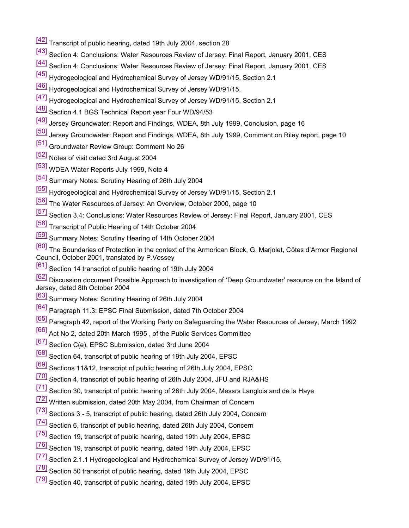- [42] Transcript of public hearing, dated 19th July 2004, section 28
- [43] Section 4: Conclusions: Water Resources Review of Jersey: Final Report, January 2001, CES
- [44] Section 4: Conclusions: Water Resources Review of Jersey: Final Report, January 2001, CES
- [45] Hydrogeological and Hydrochemical Survey of Jersey WD/91/15, Section 2.1
- [46] Hydrogeological and Hydrochemical Survey of Jersey WD/91/15,
- [47] Hydrogeological and Hydrochemical Survey of Jersey WD/91/15, Section 2.1
- [48] Section 4.1 BGS Technical Report year Four WD/94/53
- [49] Jersey Groundwater: Report and Findings, WDEA, 8th July 1999, Conclusion, page 16
- [50] Jersey Groundwater: Report and Findings, WDEA, 8th July 1999, Comment on Riley report, page 10
- [51] Groundwater Review Group: Comment No 26
- [52] Notes of visit dated 3rd August 2004
- [53] WDEA Water Reports July 1999, Note 4
- [54] Summary Notes: Scrutiny Hearing of 26th July 2004
- [55] Hydrogeological and Hydrochemical Survey of Jersey WD/91/15, Section 2.1
- [56] The Water Resources of Jersey: An Overview, October 2000, page 10
- [57] Section 3.4: Conclusions: Water Resources Review of Jersey: Final Report, January 2001, CES
- [58] Transcript of Public Hearing of 14th October 2004
- [59] Summary Notes: Scrutiny Hearing of 14th October 2004
- [60] The Boundaries of Protection in the context of the Armorican Block, G. Marjolet, Côtes d'Armor Regional Council, October 2001, translated by P.Vessey
- <sup>[61]</sup> Section 14 transcript of public hearing of 19th July 2004

[62] Discussion document Possible Approach to investigation of 'Deep Groundwater' resource on the Island of Jersey, dated 8th October 2004

- [63] Summary Notes: Scrutiny Hearing of 26th July 2004
- [64] Paragraph 11.3: EPSC Final Submission, dated 7th October 2004
- [65] Paragraph 42, report of the Working Party on Safeguarding the Water Resources of Jersey, March 1992
- [66] Act No 2, dated 20th March 1995 , of the Public Services Committee
- [67] Section C(e), EPSC Submission, dated 3rd June 2004
- [68] Section 64, transcript of public hearing of 19th July 2004, EPSC
- [69] Sections 11&12, transcript of public hearing of 26th July 2004, EPSC
- [70] Section 4, transcript of public hearing of 26th July 2004, JFU and RJA&HS
- [71] Section 30, transcript of public hearing of 26th July 2004, Messrs Langlois and de la Haye
- [72] Written submission, dated 20th May 2004, from Chairman of Concern
- [73] Sections 3 5, transcript of public hearing, dated 26th July 2004, Concern
- [74] Section 6, transcript of public hearing, dated 26th July 2004, Concern
- [75] Section 19, transcript of public hearing, dated 19th July 2004, EPSC
- [76] Section 19, transcript of public hearing, dated 19th July 2004, EPSC
- [77] Section 2.1.1 Hydrogeological and Hydrochemical Survey of Jersey WD/91/15,
- [78] Section 50 transcript of public hearing, dated 19th July 2004, EPSC
- <sup>[79]</sup> Section 40, transcript of public hearing, dated 19th July 2004, EPSC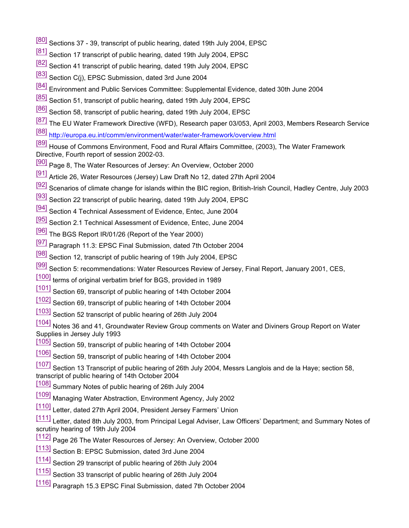- [80] Sections 37 39, transcript of public hearing, dated 19th July 2004, EPSC
- [81] Section 17 transcript of public hearing, dated 19th July 2004, EPSC
- [82] Section 41 transcript of public hearing, dated 19th July 2004, EPSC
- [83] Section C(j), EPSC Submission, dated 3rd June 2004
- <sup>[84]</sup> Environment and Public Services Committee: Supplemental Evidence, dated 30th June 2004
- [85] Section 51, transcript of public hearing, dated 19th July 2004, EPSC
- [86] Section 58, transcript of public hearing, dated 19th July 2004, EPSC
- [87] The EU Water Framework Directive (WFD), Research paper 03/053, April 2003, Members Research Service
- [88] <http://europa.eu.int/comm/environment/water/water-framework/overview.html>

[89] House of Commons Environment, Food and Rural Affairs Committee, (2003), The Water Framework Directive, Fourth report of session 2002-03.

- [90] Page 8, The Water Resources of Jersey: An Overview, October 2000
- [91] Article 26, Water Resources (Jersey) Law Draft No 12, dated 27th April 2004
- [92] Scenarios of climate change for islands within the BIC region, British-Irish Council, Hadley Centre, July 2003
- [93] Section 22 transcript of public hearing, dated 19th July 2004, EPSC
- [94] Section 4 Technical Assessment of Evidence, Entec, June 2004
- [95] Section 2.1 Technical Assessment of Evidence, Entec, June 2004
- [96] The BGS Report IR/01/26 (Report of the Year 2000)
- [97] Paragraph 11.3: EPSC Final Submission, dated 7th October 2004
- [98] Section 12, transcript of public hearing of 19th July 2004, EPSC
- [99] Section 5: recommendations: Water Resources Review of Jersey, Final Report, January 2001, CES,
- [100] terms of original verbatim brief for BGS, provided in 1989
- [101] Section 69, transcript of public hearing of 14th October 2004
- [102] Section 69, transcript of public hearing of 14th October 2004
- [103] Section 52 transcript of public hearing of 26th July 2004

[104] Notes 36 and 41, Groundwater Review Group comments on Water and Diviners Group Report on Water Supplies in Jersey July 1993

- [ $105$ ] Section 59, transcript of public hearing of 14th October 2004
- [106] Section 59, transcript of public hearing of 14th October 2004

 $[107]$  Section 13 Transcript of public hearing of 26th July 2004, Messrs Langlois and de la Haye; section 58, transcript of public hearing of 14th October 2004

- [108] Summary Notes of public hearing of 26th July 2004
- [109] Managing Water Abstraction, Environment Agency, July 2002
- [110] Letter, dated 27th April 2004, President Jersey Farmers' Union

[111] Letter, dated 8th July 2003, from Principal Legal Adviser, Law Officers' Department; and Summary Notes of scrutiny hearing of 19th July 2004

- [112] Page 26 The Water Resources of Jersey: An Overview, October 2000
- [113] Section B: EPSC Submission, dated 3rd June 2004
- [114] Section 29 transcript of public hearing of 26th July 2004
- [115] Section 33 transcript of public hearing of 26th July 2004
- [116] Paragraph 15.3 EPSC Final Submission, dated 7th October 2004